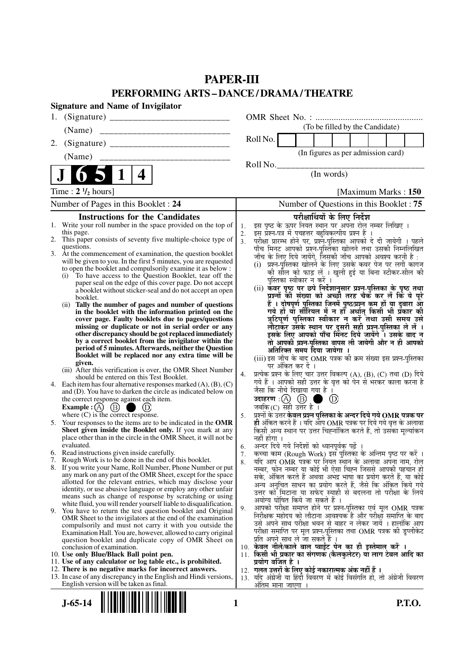### **PAPER-III PERFORMING ARTS – DANCE / DRAMA / THEATRE**

|    | <b>Signature and Name of Invigilator</b>                                                                                       |                      |                                                                                                                                    |
|----|--------------------------------------------------------------------------------------------------------------------------------|----------------------|------------------------------------------------------------------------------------------------------------------------------------|
|    |                                                                                                                                |                      |                                                                                                                                    |
|    |                                                                                                                                |                      | (To be filled by the Candidate)                                                                                                    |
| 2. |                                                                                                                                |                      | Roll No.                                                                                                                           |
|    | (Name)                                                                                                                         |                      | (In figures as per admission card)                                                                                                 |
|    |                                                                                                                                |                      | Roll No.                                                                                                                           |
|    | $\vert$ 1<br>$\overline{\mathbf{4}}$                                                                                           |                      | (In words)                                                                                                                         |
|    | Time : $2 \frac{1}{2}$ hours]                                                                                                  |                      | [Maximum Marks: 150]                                                                                                               |
|    | Number of Pages in this Booklet: 24                                                                                            |                      | Number of Questions in this Booklet: 75                                                                                            |
|    | <b>Instructions for the Candidates</b>                                                                                         |                      | परीक्षार्थियों के लिए निर्देश                                                                                                      |
|    | Write your roll number in the space provided on the top of                                                                     | 1.                   | इस पृष्ठ के ऊपर नियत स्थान पर अपना रोल नम्बर लिखिए ।                                                                               |
|    | this page.<br>2. This paper consists of seventy five multiple-choice type of                                                   | 2.<br>3 <sub>1</sub> | इस प्रश्न-पत्र में पचहत्तर बहविकल्पीय प्रश्न हैं<br>परीक्षा प्रारम्भ होने पर, प्रश्न-पुस्तिका आपको दे दी जायेगी । पहले             |
|    | questions.                                                                                                                     |                      | पाँच मिनट आपको प्रश्न-पुस्तिका खोलने तथा उसकी निम्नलिखित                                                                           |
|    | 3. At the commencement of examination, the question booklet<br>will be given to you. In the first 5 minutes, you are requested |                      | जाँच के लिए दिये जायेंगे, जिसकी जाँच आपको अवश्य करनी है :                                                                          |
|    | to open the booklet and compulsorily examine it as below :                                                                     |                      | (i) प्रश्न-पुस्तिका खोलने के लिए उसके कवर पेज पर लगी कागज<br>की सील को फाड़ लें । खुली हुई या बिना स्टीकर-सील की                   |
|    | To have access to the Question Booklet, tear off the<br>(i)<br>paper seal on the edge of this cover page. Do not accept        |                      | पुस्तिका स्वीकार न करें ।                                                                                                          |
|    | a booklet without sticker-seal and do not accept an open                                                                       |                      | (ii) कवर पृष्ठ पर छपे निर्देशानुसार प्रश्न-पुस्तिका के पृष्ठ तथा<br>प्रश्नों की संख्या को अच्छौ तरह चैक कर लें कि ये पूरे          |
|    | booklet.<br>Tally the number of pages and number of questions<br>(i)                                                           |                      | हैं । दोषपूर्ण पुस्तिका जि़नमें पृष्ठ/प्रश्न कूम हों या दुबारा आ़ै                                                                 |
|    | in the booklet with the information printed on the                                                                             |                      | गये हों या सीरियल में न हों अर्थात् किसी भी प्रकार की                                                                              |
|    | cover page. Faulty booklets due to pages/questions<br>missing or duplicate or not in serial order or any                       |                      | त्रुटिपूर्ण पुस्तिका स्वीकार न करें तथा उसी समय उसे<br>लौटाकर उसके स्थान पर दूसरी सही प्रश्न-पुस्तिका ले लें ।                     |
|    | other discrepancy should be got replaced immediately                                                                           |                      | इसके लिए आपको पाँच मिनट दिये जायेंगे ँ। उसके बाद न                                                                                 |
|    | by a correct booklet from the invigilator within the<br>period of 5 minutes. Afterwards, neither the Question                  |                      | तो आपकी प्रश्न-पुस्तिका वापस ली जायेगी और न ही आपको                                                                                |
|    | Booklet will be replaced nor any extra time will be                                                                            |                      | अतिरिक्त समय दिया जायेगा ।<br>(iii) इस जाँच के बाद OMR पत्रक की क्रम संख्या इस प्रश्न-पुस्तिका                                     |
|    | given.<br>(iii) After this verification is over, the OMR Sheet Number                                                          |                      | पर अंकित कर दें ।                                                                                                                  |
|    | should be entered on this Test Booklet.                                                                                        | 4.                   | प्रत्येक प्रश्न के लिए चार उत्तर विकल्प (A), (B), (C) तथा (D) दिये                                                                 |
|    | 4. Each item has four alternative responses marked $(A)$ , $(B)$ , $(C)$                                                       |                      | गये हैं । आपको सही उत्तर के वृत्त को पेन से भरकर काला करना है<br>जैसा कि नीचे दिखाया गया है ।                                      |
|    | and (D). You have to darken the circle as indicated below on<br>the correct response against each item.                        |                      | उदाहरण $\cdot$ $\textcircled{A}$ $\textcircled{B}$ ।<br>(D)<br>a b                                                                 |
|    | Example : $(A)$ $(B)$<br>$\bigcup$ (D)                                                                                         |                      | जबकि (C) सही उत्तर है $\overline{1}$                                                                                               |
|    | where $(C)$ is the correct response.                                                                                           | 5.                   | प्रश्नों के उत्तर केवल प्रश्न पुस्तिका के अन्दर दिये गये OMR पत्रक पर                                                              |
|    | 5. Your responses to the items are to be indicated in the OMR<br>Sheet given inside the Booklet only. If you mark at any       |                      | ही अंकित करने हैं । यदि आप OMR पत्रक पर दिये गये वृत्त के अलावा<br>किसी अन्य स्थान पर उत्तर चिह्नांकित करते हैं, तो उसका मूल्यांकन |
|    | place other than in the circle in the OMR Sheet, it will not be                                                                |                      | नहीं होगा ।                                                                                                                        |
|    | evaluated.<br>6. Read instructions given inside carefully.                                                                     | 6.                   | अन्दर दिये गये निर्देशों को ध्यानपूर्वक पढ़ें ।<br>7. कृत्वा काम (Rough Work) इस पुस्तिका के अन्तिम पृष्ठ पर करें ।                |
|    | 7. Rough Work is to be done in the end of this booklet.                                                                        | 8.                   | र्याद आप OMR पत्रक पर नियत स्थान के अलावा अपना नाम, रोल                                                                            |
|    | 8. If you write your Name, Roll Number, Phone Number or put<br>any mark on any part of the OMR Sheet, except for the space     |                      | नम्बर, फोन नम्बर या कोई भी ऐसा चिह्न जिससे आपकी पहचान हो                                                                           |
|    | allotted for the relevant entries, which may disclose your                                                                     |                      | सके, अंकित करते हैं अथवा अभद्र भाषा का प्रयोग करते हैं, या कोई<br>अन्य अनुचित साधन का प्रयोग करते हैं, जैसे कि अंकित किये गये      |
|    | identity, or use abusive language or employ any other unfair                                                                   |                      | उत्तर को मिटाना या सफेद स्याही से बदलना तो परीक्षा के लिये                                                                         |
|    | means such as change of response by scratching or using<br>white fluid, you will render yourself liable to disqualification.   |                      | अयोग्य घोषित किये जा सकते हैं ।                                                                                                    |
|    | 9. You have to return the test question booklet and Original                                                                   | 9.                   | आपको परीक्षा समाप्त होने पर प्रश्न-पुस्तिका एवं मूल OMR पत्रक<br>निरीक्षक महोदय को लौटाना आवश्यक है और परीक्षा समाप्ति के बाद      |
|    | OMR Sheet to the invigilators at the end of the examination<br>compulsorily and must not carry it with you outside the         |                      | उसे अपने साथ परीक्षा भवन से बाहर न लेकर जायें । हालांकि आप                                                                         |
|    | Examination Hall. You are, however, allowed to carry original                                                                  |                      | परीक्षा समाप्ति पर मूल प्रश्न-पुस्तिका तथा OMR पत्रक की डुप्लीकेट                                                                  |
|    | question booklet and duplicate copy of OMR Sheet on<br>conclusion of examination.                                              |                      | प्रति अपने साथ ले जा सकते हैं ।<br>10. केवल नीले/काले बाल प्वाईंट पेन का ही इस्तेमाल करें ।                                        |
|    | 10. Use only Blue/Black Ball point pen.                                                                                        |                      | 11. किसी भी प्रकार का संगणक (कैलकुलेटर) या लाग टेबल आदि का                                                                         |
|    | 11. Use of any calculator or log table etc., is prohibited.                                                                    |                      | प्रयोग वर्जित है ।                                                                                                                 |
|    | 12. There is no negative marks for incorrect answers.<br>13. In case of any discrepancy in the English and Hindi versions,     | 13.                  | 12.  गलत उत्तरों के लिए कोई नकारात्मक अंक नहीं हैं ।<br>यदि अंग्रेजी या हिंदी विवरण में कोई विसंगति हो, तो अंग्रेजी विवरण          |
|    | English version will be taken as final.                                                                                        |                      | अंतिम माना जाएगा ।                                                                                                                 |

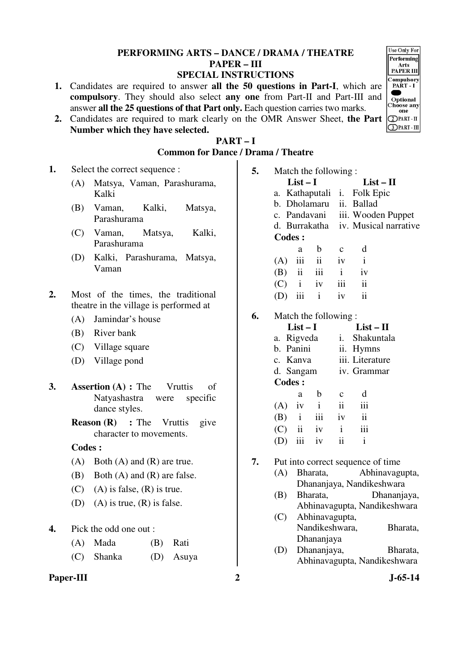#### **PERFORMING ARTS – DANCE / DRAMA / THEATRE PAPER – III SPECIAL INSTRUCTIONS**

- **1.** Candidates are required to answer **all the 50 questions in Part-I**, which are **compulsory**. They should also select **any one** from Part-II and Part-III and answer **all the 25 questions of that Part only.** Each question carries two marks.
- **2.** Candidates are required to mark clearly on the OMR Answer Sheet, **the Part Number which they have selected.**

**1.** Select the correct sequence :

Kalki

(A) Matsya, Vaman, Parashurama,

### **PART – I**

#### **Common for Dance / Drama / Theatre**

 (B) Vaman, Kalki, Matsya, Parashurama (C) Vaman, Matsya, Kalki, Parashurama (D) Kalki, Parashurama, Matsya, Vaman **2.** Most of the times, the traditional theatre in the village is performed at (A) Jamindar's house (B) River bank (C) Village square (D) Village pond **3. Assertion (A) :** The Vruttis of Natyashastra were specific dance styles. **Reason (R)** : The Vruttis give character to movements.  **Codes :**  $(A)$  Both  $(A)$  and  $(R)$  are true. (B) Both (A) and (R) are false.  $(C)$  (A) is false,  $(R)$  is true. (D) (A) is true,  $(R)$  is false. **4.** Pick the odd one out : (A) Mada (B) Rati (C) Shanka (D) Asuya **Codes :**  a b c d **6.** Match the following : **Codes :**  (C) ii iv i iii (D) iii iv ii i (C) Abhinavagupta, Dhananjaya

# **5.** Match the following :  $List - I$   $List - II$ a. Kathaputali i. Folk Epic

b. Dholamaru ii. Ballad c. Pandavani iii. Wooden Puppet d. Burrakatha iv. Musical narrative  $(A)$  iii ii iv i  $(B)$  ii iii i iv  $(C)$  i iv iii ii (D) iii i iv ii **List – I List – II**  antala

| a. Rigveda    |              |     |             | 1. Shakuntal    |  |
|---------------|--------------|-----|-------------|-----------------|--|
| b. Panini     |              |     |             | ii. Hymns       |  |
| c. Kanva      |              |     |             | iii. Literature |  |
| d. Sangam     |              |     |             | iv. Grammar     |  |
| <b>Codes:</b> |              |     |             |                 |  |
|               | a            | h   | $\mathbf c$ | d               |  |
| (A)           | $\dot{v}$    | i   | ii          | iii             |  |
| (B)           | $\mathbf{i}$ | iii | iv          | ii              |  |
|               | ü            | iv  |             | iii             |  |

- **7.** Put into correct sequence of time
	- (A) Bharata, Abhinavagupta, Dhananjaya, Nandikeshwara
	- (B) Bharata, Dhananjaya, Abhinavagupta, Nandikeshwara
	- Nandikeshwara, Bharata,
	- (D) Dhananjaya, Bharata, Abhinavagupta, Nandikeshwara

Paper-III 2 J-65-14

Performing Arts<br>PAPER III Compulsory<br>PART - I  $\overline{\text{Optional}}$ Choose any one **OPART-III** 

Use Only For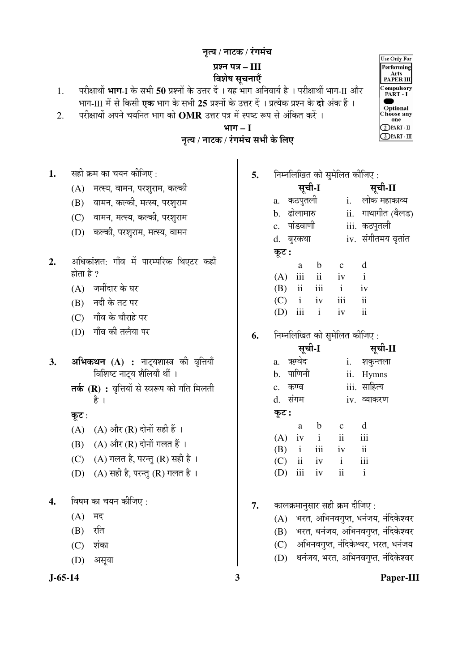#### नृत्य / नाटक / रंगमंच

#### ¯ÖÏ¿®Ö ¯Ö¡Ö **– III**  विशेष सचनाएँ

| परीक्षार्थी <b>भाग</b> -I के सभी <b>50</b> प्रश्नों के उत्तर दें । यह भाग अनिवार्य है । परीक्षार्थी भाग-II और |  |
|---------------------------------------------------------------------------------------------------------------|--|
| भाग-III में से किसी <b>एक</b> भाग के सभी 25 प्रश्नों के उत्तर दें । प्रत्येक प्रश्न के <b>दो</b> अंक हैं ।    |  |

2. विशेक्षार्थी अपने चयनित भाग को **OMR** उत्तर पत्र में स्पष्ट रूप से अंकित करें।

#### ³ÖÖÝÖ **– I**

#### नृत्य / नाटक / रंगमंच सभी के लिए

- 1. सही क्रम का चयन कीजिए :
	- (A) मत्स्य, वामन, परशुराम, कल्की
	- (B) वामन, कल्की, मत्स्य, परशुराम
	- (C) वामन, मत्स्य, कल्की, परशुराम
	- (D) कल्की, परशुराम, मत्स्य, वामन
- 2. अधिकांशत: गाँव में पारम्परिक थिएटर कहाँ होता है ?
	- $(A)$  जमींदार के घर
	- (B) नदी के तट पर
	- (C) गाँव के चौराहे पर
	- (D) गाँव की तलैया पर
- 3. अभिकथन (A) : नाट्यशास्त्र की वृत्तियाँ विशिष्ट नाट्य शैलियाँ थीं ।
	- **तर्क (R) :** वृत्तियों से स्वरूप को गति मिलती है ।

कुट:

- $(A)$   $(A)$  और  $(R)$  दोनों सही हैं ।
- $(B)$   $(A)$  और  $(R)$  दोनों गलत हैं।
- (C)  $(A)$  गलत है, परन्तु (R) सही है।
- (D)  $(A)$  सही है, परन्तु (R) गलत है।
- **4.** विषम का चयन कीजिए :
	- $(A)$  मद
	- $(B)$  रति
	- $(C)$  शंका
	- (D) असूया



**5.** निम्नलिखित को सुमेलित कीजिए :

|       |             | सूची-I       |              | सूची-II             |
|-------|-------------|--------------|--------------|---------------------|
|       | a. कठपुतली  |              | i.           | लोक महाकाव्य        |
|       | b. ढोलामारु |              | ii.          | गाथागीत (बैलड)      |
|       | c. पांडवाणी |              |              | iii. कठपुतली        |
|       | d. बुरकथा   |              |              | iv. संगीतमय वृतांत  |
| कूट : |             |              |              |                     |
|       | a           | b            | $\mathbf{c}$ | d                   |
| (A)   | iii         | ii           | iv           | $\mathbf{i}$        |
|       | $(B)$ ii    | iii          | $\mathbf{i}$ | iv                  |
|       | $(C)$ i     | iv           | iii          | $\ddot{\mathbf{i}}$ |
| (D)   | iii         | $\mathbf{i}$ | iv           | $\mathbf{ii}$       |
|       |             |              |              |                     |

**6.** निम्नलिखित को सुमेलित कीजिए :

|       | सूची-I                  |              |              | सूची-II             |  |
|-------|-------------------------|--------------|--------------|---------------------|--|
| a.    | ऋग्वेद                  |              | i.           | शकुन्तला            |  |
|       | b. पाणिनी               |              |              | ii. Hymns           |  |
|       | c. कण्व                 |              |              | iii. साहित्य        |  |
|       | d. संगम                 |              |              | iv. व्याकरण         |  |
| कूट : |                         |              |              |                     |  |
|       | a                       | $\mathbf b$  | $\mathbf{c}$ | d                   |  |
| (A)   | iv                      | $\mathbf{i}$ | ii           | iii                 |  |
|       | $(B)$ i                 | iii          | iv           | $\ddot{\mathbf{i}}$ |  |
| (C)   | $\overline{\mathbf{u}}$ | iv           | $\mathbf{i}$ | iii                 |  |
| (D)   | iii                     | iv           | ii           | i                   |  |

**7.** कालक्रमानुसार सही क्रम दीजिए :

- (A) भरत, अभिनवगुप्त, धनंजय, नंदिकेश्वर
- (B) भरत, धनंजय, अभिनवगुप्त, नंदिकेश्वर
- (C) अभिनवगुप्त, नंदिकेश्वर, भरत, धनंजय
- (D) धनंजय, भरत, अभिनवगुप्त, नंदिकेश्वर

**J-65-14 3 Paper-III**

Use Only For Performing Arts<br>Arts<br>PAPER III Compulsory<br>PART - I Optional Choose any<br>one  $\mathbb{D}$ PART - II  $D$ PART - III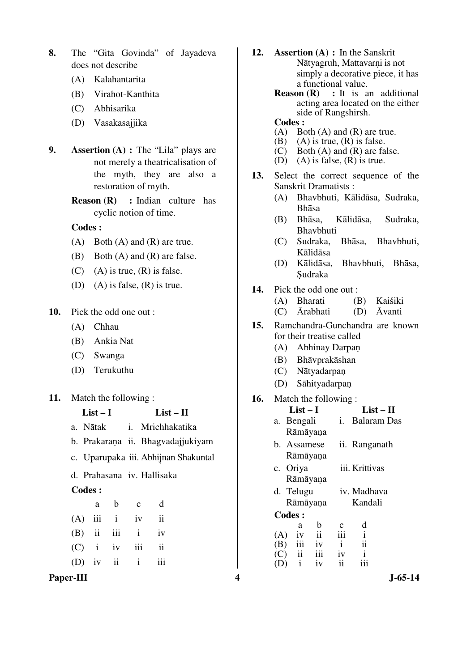- **8.** The "Gita Govinda" of Jayadeva does not describe
	- (A) Kalahantarita
	- (B) Virahot-Kanthita
	- (C) Abhisarika
	- (D) Vasakasajjika
- **9. Assertion (A) :** The "Lila" plays are not merely a theatricalisation of the myth, they are also a restoration of myth.
	- **Reason (R) :** Indian culture has cyclic notion of time.

- $(A)$  Both  $(A)$  and  $(R)$  are true.
- (B) Both (A) and (R) are false.
- (C) (A) is true,  $(R)$  is false.
- (D) (A) is false,  $(R)$  is true.
- **10.** Pick the odd one out :
	- (A) Chhau
	- (B) Ankia Nat
	- (C) Swanga
	- (D) Terukuthu
- **11.** Match the following :
	- **List I List II**
	- a. Nātak i. Mrichhakatika
	- b. Prakarana ii. Bhagvadajjukiyam .
	- c. Uparupaka iii. Abhijnan Shakuntal
	- d. Prahasana iv. Hallisaka

#### **Codes :**

|  | a b c             | d |
|--|-------------------|---|
|  | $(A)$ iii i iv ii |   |
|  | $(B)$ ii iii i iv |   |
|  | $(C)$ i iv iii ii |   |
|  | $(D)$ iv ii i iii |   |

**Paper-III 4 J-65-14**

- **12. Assertion (A) :** In the Sanskrit Nātyagruh, Mattavarni is not . simply a decorative piece, it has a functional value.<br>Reason  $(R)$ : It is a
	- **:** It is an additional acting area located on the either side of Rangshirsh.

- (A) Both (A) and (R) are true.
- (B) (A) is true,  $(R)$  is false.
- (C) Both (A) and (R) are false.
- (D) (A) is false,  $(R)$  is true.
- **13.** Select the correct sequence of the Sanskrit Dramatists :
	- (A) Bhavbhuti, Kālidāsa, Sudraka, Bhāsa
	- (B) Bhāsa, Kālidāsa, Sudraka, Bhavbhuti
	- (C) Sudraka, Bhāsa, Bhavbhuti, Kālidāsa
	- (D) Kālidāsa, Bhavbhuti, Bhāsa, Sudraka .
- **14.** Pick the odd one out :
	- (A) Bharati (B) Kaiśiki
	- (C) Ārabhati (D) Āvanti
- **15.** Ramchandra-Gunchandra are known for their treatise called
	- (A) Abhinay Darpan .
	- (B) Bhāvprakāshan
	- (C) Nātyadarpan .
	- (D) Sāhityadarpan .
- **16.** Match the following :

|               | List $-1$    |                          |              | List – H           |  |
|---------------|--------------|--------------------------|--------------|--------------------|--|
| a. Bengali    |              |                          | i.           | <b>Balaram</b> Das |  |
|               |              | Rāmāyana                 |              |                    |  |
| b. Assamese   |              |                          |              | ii. Ranganath      |  |
|               |              | Rāmāyaņa                 |              |                    |  |
| c. Oriya      |              |                          |              | iii. Krittivas     |  |
|               |              | Rāmāyana                 |              |                    |  |
| d. Telugu     |              |                          |              | iv. Madhava        |  |
|               |              | Rāmāyaņa                 |              | Kandali            |  |
| <b>Codes:</b> |              |                          |              |                    |  |
|               | a            | b                        | c            | d                  |  |
| (A)           | 1V           | $\overline{\mathbf{11}}$ | iii          | $\mathbf{i}$       |  |
| (B)           | iii          | iv                       | $\mathbf{i}$ | ii                 |  |
| $(C)$ ii      |              | iii                      | iv           | i                  |  |
|               | $\mathbf{i}$ | iv                       | ii           |                    |  |
|               |              |                          |              |                    |  |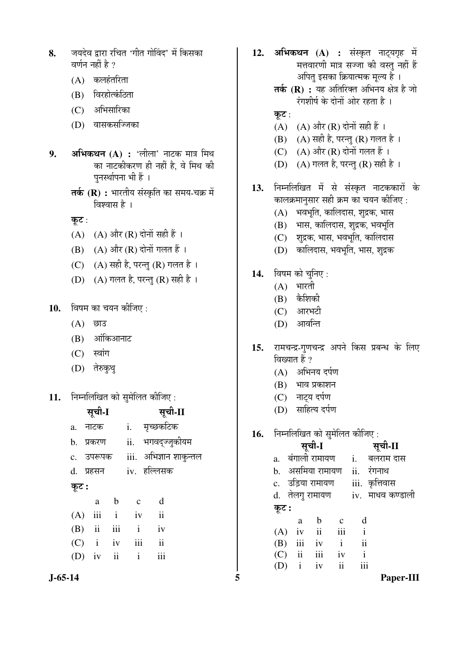- 8. जयदेव द्वारा रचित 'गीत गोविंद' में किसका वर्णन नहीं है ?
	- $(A)$  कलहंतरिता
	- (B) विरहोत्कंठिता
	- (C) अभिसारिका
	- (D) वासकसज्जिका
- **9. अभिकथन (A) : '**लीला' नाटक मात्र मिथ का नाटकीकरण ही नहीं है, वे मिथ की पुनर्स्थापना भी हैं ।
	- **तर्क (R) :** भारतीय संस्कृति का समय-चक्र में विश्वास है ।

कूट :

- $(A)$   $(A)$  और  $(R)$  दोनों सही हैं ।
- $(B)$   $(A)$  और  $(R)$  दोनों गलत हैं ।
- (C)  $(A)$  सही है, परन्तु (R) गलत है।
- (D) (A) गलत है, परन्तु (R) सही है ।
- 10. विषम का चयन कीजिए :
	- $(A)$  छाउ
	- $(B)$  आंकिआनाट
	- (C) स्वांग
	- (D) तेरुकुथु
- 11. निम्नलिखित को सुमेलित कीजिए:

|       | सूची-I         |     |              | सूची-II                  |  |
|-------|----------------|-----|--------------|--------------------------|--|
|       | a. नाटक        |     |              | i. मृच्छकटिक             |  |
|       | b. प्रकरण      |     |              | ii. भगवदुज्जुकीयम        |  |
|       | c. उपरूपक      |     |              | iii. अभिज्ञान शाकुन्तल   |  |
|       | d. प्रहसन      |     |              | iv. हल्लिसक              |  |
| कूट : |                |     |              |                          |  |
|       |                | a b | $\mathbf{c}$ | d                        |  |
|       | $(A)$ iii i iv |     |              | $\overline{\mathbf{u}}$  |  |
|       | $(B)$ ii iii i |     |              | iv                       |  |
|       | $(C)$ i iv iii |     |              | $\overline{\mathbf{ii}}$ |  |
|       | (D) iv ii $i$  |     |              | iii                      |  |
|       |                |     |              |                          |  |

- 12. अभिकथन (A) : संस्कृत नाट्यगृह में मत्तवारणी मात्र सज्जा की वस्तु नहीं हैं अपित् इसका क्रियात्मक मुल्य है ।
	- **तर्क (R) :** यह अतिरिक्त अभिनय क्षेत्र है जो रंगशीर्ष के दोनों ओर रहता है ।
	- कूट $:$
	- $(A)$   $(A)$  और  $(R)$  दोनों सही हैं ।
	- $(B)$   $(A)$  सही है, परन्तु  $(R)$  गलत है।
	- $(C)$   $(A)$  और  $(R)$  दोनों गलत हैं।
	- (D)  $(A)$  गलत है, परन्त (R) सही है।
- 13. निम्नलिखित में से संस्कृत नाटककारों के कालक्रमानुसार सही क्रम का चयन कीजिए :
	- (A) भवभूति, कालिदास, शुद्रक, भास
	- (B) भास, कालिदास, शुद्रक, भवभूति
	- $(C)$  शुद्रक, भास, भवभूति, कालिदास
	- (D) कालिदास, भवभृति, भास, शृद्रक
- 14. विषम को चुनिए :
	- $(A)$  भारती
	- $(B)$  कैशिकी
	- $(C)$  आरभटी
	- (D) आवन्ति
- 15. रामचन्द्र-गुणचन्द्र अपने किस प्रबन्ध के लिए विख्यात हैं ?
	- $(A)$  अभिनय दर्पण
	- $(B)$  भाव प्रकाशन
	- $(C)$  नाटय दर्पण
	- (D) साहित्य दर्पण
- **16.** निम्नलिखित को सुमेलित कीजिए :

|       | सूची-I |              |                    |                         |               | सूची-II          |  |  |
|-------|--------|--------------|--------------------|-------------------------|---------------|------------------|--|--|
| a.    |        |              | बंगाली रामायण      |                         | i.            | बलराम दास        |  |  |
|       |        |              | b.   असमिया रामायण |                         | ii.           | रंगनाथ           |  |  |
|       |        |              | c. उड़िया रामायण   |                         |               | iii. कृत्तिवास   |  |  |
|       |        |              | d. तेलगु रामायण    |                         |               | iv. माधव कण्डाली |  |  |
| कूट : |        |              |                    |                         |               |                  |  |  |
|       |        | a            | $\mathbf b$        | $\mathbf{c}$            | d             |                  |  |  |
| (A)   |        |              | iv ii              | iii                     | $\mathbf{i}$  |                  |  |  |
|       |        |              | $(B)$ iii iv       | $\mathbf{i}$            | $\mathbf{ii}$ |                  |  |  |
|       |        |              | $(C)$ ii iii       | iv                      | $\mathbf{i}$  |                  |  |  |
| (D)   |        | $\mathbf{i}$ | iv                 | $\overline{\mathbf{u}}$ | iii           |                  |  |  |
|       |        |              |                    |                         |               |                  |  |  |

**J-65-14 5 Paper-III**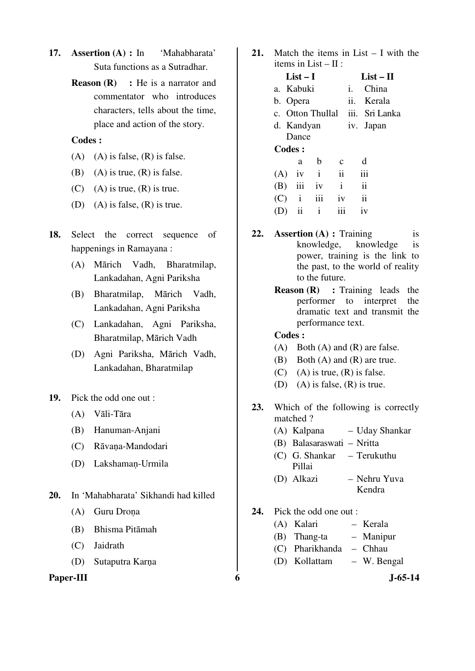- **17. Assertion (A) :** In 'Mahabharata' Suta functions as a Sutradhar.
	- **Reason (R)** : He is a narrator and commentator who introduces characters, tells about the time, place and action of the story.

- $(A)$   $(A)$  is false,  $(R)$  is false.
- (B) (A) is true,  $(R)$  is false.
- (C) (A) is true,  $(R)$  is true.
- (D) (A) is false,  $(R)$  is true.
- **18.** Select the correct sequence of happenings in Ramayana :
	- (A) Mārich Vadh, Bharatmilap, Lankadahan, Agni Pariksha
	- (B) Bharatmilap, Mārich Vadh, Lankadahan, Agni Pariksha
	- (C) Lankadahan, Agni Pariksha, Bharatmilap, Mārich Vadh
	- (D) Agni Pariksha, Mārich Vadh, Lankadahan, Bharatmilap
- **19.** Pick the odd one out :
	- (A) Vāli-Tāra
	- (B) Hanuman-Anjani
	- (C) Rāvana-Mandodari .
	- (D) Lakshaman-Urmila .
- **20.** In 'Mahabharata' Sikhandi had killed
	- (A) Guru Drona .
	- (B) Bhisma Pitāmah
	- (C) Jaidrath
	- (D) Sutaputra Karna .

#### Paper-III 6 J-65-14

**21.** Match the items in List – I with the items in List – II :

|          | $List-I$   |                  |               |                | $List-II$ |
|----------|------------|------------------|---------------|----------------|-----------|
|          | a. Kabuki  |                  |               | i.             | China     |
| b. Opera |            |                  | ÎĹ.           | Kerala         |           |
|          |            | c. Otton Thullal |               | iii. Sri Lanka |           |
|          | d. Kandyan |                  |               |                | iv. Japan |
|          | Dance      |                  |               |                |           |
| Codes :  |            |                  |               |                |           |
|          | a          | h                | $\mathcal{C}$ |                | d         |
|          | iv         | i                | ii.           |                |           |

- (B) iii iv i ii  $(C)$  i iii iv ii  $(D)$  ii ii iii iv
- **22. Assertion (A) :** Training is knowledge, knowledge is power, training is the link to the past, to the world of reality to the future.
	- **Reason (R)** : Training leads the performer to interpret the dramatic text and transmit the performance text.

- (A) Both (A) and (R) are false.
- (B) Both (A) and (R) are true.
- (C) (A) is true,  $(R)$  is false.
- (D) (A) is false,  $(R)$  is true.
- **23.** Which of the following is correctly matched ?
	- (A) Kalpana Uday Shankar
	- (B) Balasaraswati Nritta
	- (C) G. Shankar Pillai – Terukuthu
	- (D) Alkazi Nehru Yuva Kendra
- **24.** Pick the odd one out :
	- (A) Kalari Kerala
		- (B) Thang-ta Manipur
	- (C) Pharikhanda Chhau
	- (D) Kollattam W. Bengal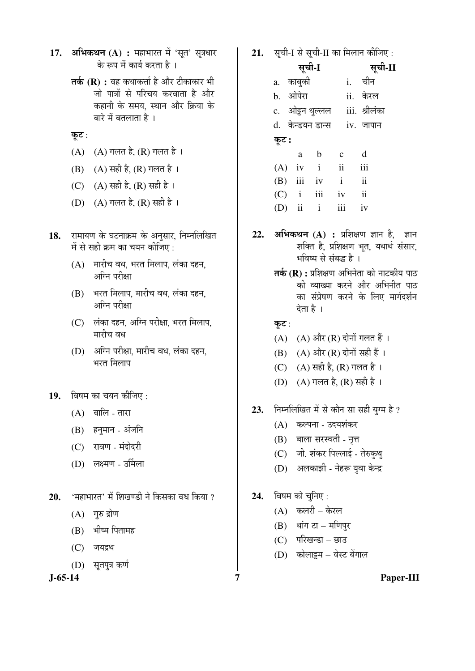- 17. **अभिकथन (A) :** महाभारत में 'सत' सत्रधार के रूप में कार्य करता है ।
	- **तर्क (R) :** वह कथाकर्त्ता है और टीकाकार भी जो पात्रों से परिचय करवाता है और कहानी के समय. स्थान और क्रिया के बारे में बतलाता है ।
	- कूट $:$
	- $(A)$   $(A)$  गलत है,  $(R)$  गलत है।
	- $(B)$  (A) सही है, (R) गलत है।
	- (C) (A) सही है, (R) सही है ।
	- (D) (A) गलत है, (R) सही है ।
- 18. रामायण के घटनाक्रम के अनुसार, निम्नलिखित में से सही क्रम का चयन कीजिए :
	- $(A)$  मारीच वध, भरत मिलाप, लंका दहन, अग्नि परीक्षा
	- (B) भरत मिलाप, मारीच वध, लंका दहन, अग्नि परीक्षा
	- (C) लंका दहन, अग्नि परीक्षा, भरत मिलाप, मारीच वध
	- (D) अग्नि परीक्षा, मारीच वध, लंका दहन, भरत मिलाप
- 19. विषम का चयन कीजिए :
	- $(A)$  बालि तारा
	- (B) हनुमान अंजनि
	- (C) रावण मंदोदरी
	- (D) लक्ष्मण उर्मिला
- 20. <u>'महाभारत' में शिखण्डी ने किसका वध किया</u> ?
	- $(A)$  गुरु द्रोण
	- $(B)$  भीष्म पितामह
	- $(C)$  जयद्रथ
	- (D) सूतपुत्र कर्ण

21. सूची-I से सूची-II का मिलान कीजिए :

|          |              |                                                    |                     | सूची-II                                                                                 |
|----------|--------------|----------------------------------------------------|---------------------|-----------------------------------------------------------------------------------------|
|          |              |                                                    |                     |                                                                                         |
| b. ओपेरा |              |                                                    |                     |                                                                                         |
|          |              |                                                    |                     |                                                                                         |
|          |              |                                                    |                     |                                                                                         |
| कूट :    |              |                                                    |                     |                                                                                         |
| a.       | $\mathbf{b}$ | $\mathbf{C}$                                       | d                   |                                                                                         |
| $(A)$ iv |              |                                                    | iii                 |                                                                                         |
|          |              | $\mathbf{i}$                                       | $\ddot{\mathbf{i}}$ |                                                                                         |
|          |              | iv                                                 | $\ddot{\mathbf{i}}$ |                                                                                         |
|          |              | सूची-I<br>a. काबुकी<br>$(B)$ iii iv<br>$(C)$ i iii | $\mathbf{i}$        | i. चीन<br>ii. केरल<br>c. ओट्टन थुल्लल iii. श्रीलंका<br>d. केन्डयन डान्स iv. जापान<br>ii |

22. अभिकथन (A) : प्रशिक्षण ज्ञान है. ज्ञान शक्ति है, प्रशिक्षण भूत, यथार्थ संसार, <u>भविष्य से संबद्ध है</u> ।

 $(D)$  ii ii iii iv

- **तर्क (R) :** प्रशिक्षण अभिनेता को नाटकीय पाठ को व्याख्या करने और अभिनीत पाठ का संप्रेषण करने के लिए मार्गदर्शन देता है ।
- कूट:
- $(A)$   $(A)$  और  $(R)$  दोनों गलत हैं।
- $(B)$   $(A)$  और  $(R)$  दोनों सही हैं ।
- (C)  $(A)$  सही है,  $(R)$  गलत है।
- (D) (A) गलत है, (R) सही है ।
- 23. FHमलिखित में से कौन सा सही युग्म है ?
	- $(A)$  कल्पना उदयशंकर
	- (B) बाला सरस्वती नृत्त
	- (C) जी. शंकर पिल्लाई तेरुकुथु
	- (D) अलकाझी नेहरू युवा केन्द्र

#### **24.** विषम को चुनिए:

- $(A)$  कलरी केरल
- $(B)$  थांग टा मणिपुर
- (C) परिखन्डा छाउ
- (D) कोलाइम वेस्ट बेंगाल

**J-65-14 7 Paper-III**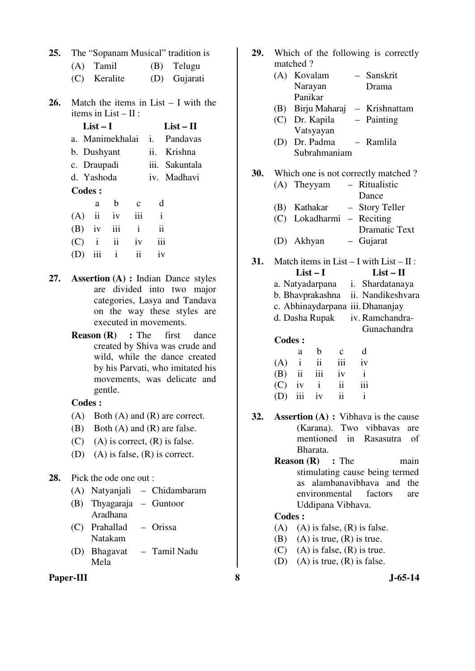| 25. |  |  |  | The "Sopanam Musical" tradition is |
|-----|--|--|--|------------------------------------|
|-----|--|--|--|------------------------------------|

|  | $(A)$ Tamil                  | (B) Telugu                    |
|--|------------------------------|-------------------------------|
|  | $(\bigcap_{i} V_{\text{c}})$ | $\bigcap$ $\bigcap$ $\bigcap$ |

- (C) Keralite (D) Gujarati
- **26.** Match the items in List I with the items in List – II :

| $List-I$        | $List - II$         |
|-----------------|---------------------|
| a. Manimekhalai | <i>i</i> . Pandavas |
| b. Dushyant     | ii. Krishna         |
| c. Draupadi     | iii. Sakuntala      |
| d. Yashoda      | iv. Madhavi         |
| <b>Codes:</b>   |                     |
|                 |                     |

|  | a b c             | d             |
|--|-------------------|---------------|
|  | $(A)$ ii iv iii i |               |
|  | $(B)$ iv iii i    | $\mathbf{ii}$ |
|  | $(C)$ i ii iv iii |               |
|  | $(D)$ iii i ii iv |               |

- **27. Assertion (A) :** Indian Dance styles are divided into two major categories, Lasya and Tandava on the way these styles are executed in movements.
	- **Reason (R)** : The first dance created by Shiva was crude and wild, while the dance created by his Parvati, who imitated his movements, was delicate and gentle.

- (A) Both (A) and (R) are correct.
- (B) Both (A) and (R) are false.
- $(C)$  (A) is correct,  $(R)$  is false.
- (D) (A) is false, (R) is correct.
- **28.** Pick the ode one out :
	- (A) Natyanjali Chidambaram
	- (B) Thyagaraja Guntoor Aradhana
	- (C) Prahallad Natakam – Orissa
	- (D) Bhagavat Mela – Tamil Nadu

#### Paper-III 8 **8** J-65-14

| 29.        | matched?      |                                     |              | Which of the following is correctly                         |
|------------|---------------|-------------------------------------|--------------|-------------------------------------------------------------|
|            |               |                                     |              |                                                             |
|            |               | (A) Kovalam                         |              | - Sanskrit                                                  |
|            |               | Narayan<br>Panikar                  |              | Drama                                                       |
|            |               | (B) Birju Maharaj                   |              | - Krishnattam                                               |
|            |               | (C) Dr. Kapila                      |              | - Painting                                                  |
|            |               | Vatsyayan                           |              |                                                             |
|            |               | (D) Dr. Padma                       |              | - Ramlila                                                   |
|            |               | Subrahmaniam                        |              |                                                             |
| 30.        |               |                                     |              | Which one is not correctly matched?                         |
|            |               | (A) Theyyam                         |              | - Ritualistic                                               |
|            |               |                                     |              | Dance                                                       |
|            |               | (B) Kathakar                        |              | - Story Teller                                              |
|            |               | (C) Lokadharmi - Reciting           |              |                                                             |
|            |               |                                     |              | <b>Dramatic Text</b>                                        |
|            |               | (D) Akhyan                          |              | - Gujarat                                                   |
| 31.        |               | $List-I$                            |              | Match items in $List - I$ with $List - II$ :<br>$List - II$ |
|            |               |                                     |              | a. Natyadarpana i. Shardatanaya                             |
|            |               |                                     |              | b. Bhavprakashna ii. Nandikeshvara                          |
|            |               |                                     |              | c. Abhinaydarpana iii. Dhananjay                            |
|            |               | d. Dasha Rupak                      |              | iv. Ramchandra-                                             |
|            |               |                                     |              | Gunachandra                                                 |
|            | <b>Codes:</b> |                                     |              |                                                             |
|            |               | $\mathbf b$<br>a                    | $\mathbf{c}$ | d                                                           |
|            | (A)           | $\ddot{\mathbf{i}}$<br>$\mathbf{i}$ | iii          | iv                                                          |
|            | $(B)$ ii      | iii                                 | iv           | $\mathbf{i}$                                                |
|            | $(C)$ iv      | $\mathbf{i}$                        | ii           | iii                                                         |
|            | (D)           | iii<br>iv                           | ii           | $\mathbf{i}$                                                |
| <b>32.</b> |               |                                     |              | <b>Assertion</b> (A) : Vibhava is the cause                 |
|            |               |                                     |              | (Karana). Two vibhavas<br>are                               |
|            |               |                                     |              | mentioned in Rasasutra<br>- of                              |
|            |               | Bharata.                            |              |                                                             |
|            |               | <b>Reason</b> $(R)$ : The           |              | main                                                        |

stimulating cause being termed as alambanavibhava and the environmental factors are Uddipana Vibhava.

- $(A)$  (A) is false,  $(R)$  is false.
- (B) (A) is true,  $(R)$  is true.
- (C) (A) is false,  $(R)$  is true.
- (D) (A) is true,  $(R)$  is false.
-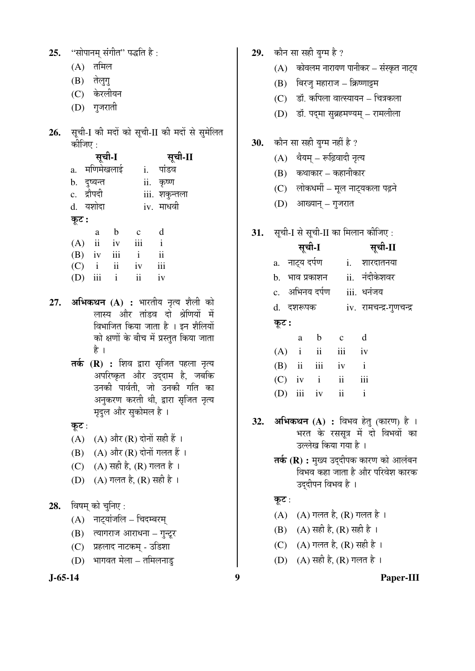| 25. | ''सोपानम् संगीत'' पद्धति है : |  |  |
|-----|-------------------------------|--|--|
|     |                               |  |  |

- $(A)$  तमिल
- (B) तेलुगु
- (C) केरलीयन
- $(D)$  गुजराती
- 26. सूची-I की मदों को सूची-II की मदों से सुमेलित कीजिए $\cdot$

|       | सूची-I       |                     |              | सूची-II       |
|-------|--------------|---------------------|--------------|---------------|
|       | a. मणिमेखलाई |                     | i.           | पांडव         |
|       | b. दुष्यन्त  |                     |              | ii. कृष्ण     |
|       | c. द्रौपदी   |                     |              | iii. शकुन्तला |
|       | d. यशोदा     |                     |              | iv. माधवी     |
| कूट : |              |                     |              |               |
|       | a            | $\mathbf b$         | $\mathbf{c}$ | d             |
|       | $(A)$ ii     | iv                  | iii          | $\mathbf{i}$  |
|       | $(B)$ iv     | iii                 | $\mathbf{i}$ | ii            |
| (C)   | $\mathbf{i}$ | $\ddot{\mathbf{i}}$ | iv           | iii           |

- (D) iii i ii iv
- **27. अभिकथन (A) :** भारतीय नृत्य शैली को लास्य और तांडव दो श्रेणियों में विभाजित किया जाता है । इन शैलियों को क्षणों के बीच में प्रस्तुत किया जाता है ।
	- **तर्क (R) :** शिव द्वारा सृजित पहला नृत्य अपरिष्कृत और उद्दाम है, जबकि उनकी पार्वती, जो उनकी गति का अनुकरण करती थी, द्वारा सृजित नृत्य मृदुल और सुकोमल है ।
	- कुट $:$
	- $(A)$   $(A)$  और  $(R)$  दोनों सही हैं ।
	- $(B)$   $(A)$  और  $(R)$  दोनों गलत हैं।
	- (C)  $(A)$  सही है,  $(R)$  गलत है।
	- $(D)$   $(A)$  गलत है,  $(R)$  सही है ।

#### **28.** विषम को चनिए:

- $(A)$  नाट्यांजलि चिदम्बरम्
- $(B)$  त्यागराज आराधना गुन्टूर
- (C) प्रहलाद नाटकम् उडिशा
- (D) भागवत मेला तमिलनाडु

- 29. कौन सा सही युग्म है ?
	- $(A)$  कोवलम नारायण पानीकर संस्कृत नाट्य
	- $(B)$  बिरजु महाराज क्रिष्णाट्टम
	- (C) डॉ. कपिला वात्स्यायन चित्रकला
	- (D) डॉ. पद्मा सुब्रहमण्यम् रामलीला
- **30.** कौन सा सही युग्म नहीं है ?
	- $(A)$  थैयम् रूढ़िवादी नृत्य
	- (B) कथाकार कहानीकार
	- (C) लोकधर्मी मूल नाट्यकला पढ़ने
	- (D) आख्यान् गुजरात
- **31.** सूची-I से सूची-II का मिलान कीजिए :

|       | सूची-I           | सूची-II                 |
|-------|------------------|-------------------------|
|       | a. नाट्य दर्पण   | शारदातनया               |
|       | b.   भाव प्रकाशन | ii. नंदीकेशवर           |
|       | c. अभिनय दर्पण   | iii. धनंजय              |
|       | d. दशरूपक        | iv. रामचन्द्र-गुणचन्द्र |
| कूट : |                  |                         |

|  | a b c             | d |
|--|-------------------|---|
|  | $(A)$ i ii iii iv |   |
|  | $(B)$ ii iii iv i |   |
|  | $(C)$ iv i ii iii |   |
|  | $(D)$ iii iv ii i |   |

- **32. अभिकथन (A) :** विभव हेतु (कारण) है । भरत के रससूत्र में दो विभवों का उल्लेख किया गया है ।
	- **तर्क (R) :** मुख्य उदुदीपक कारण को आलंबन विभव कहा जाता है और परिवेश कारक उददीपन विभव है ।

#### कूट:

- $(A)$   $(A)$  गलत है,  $(R)$  गलत है ।
- (B)  $(A)$  सही है,  $(R)$  सही है ।
- (C) (A) गलत है, (R) सही है ।
- (D) (A) सही है, (R) गलत है ।
- 

#### **J-65-14 9 Paper-III**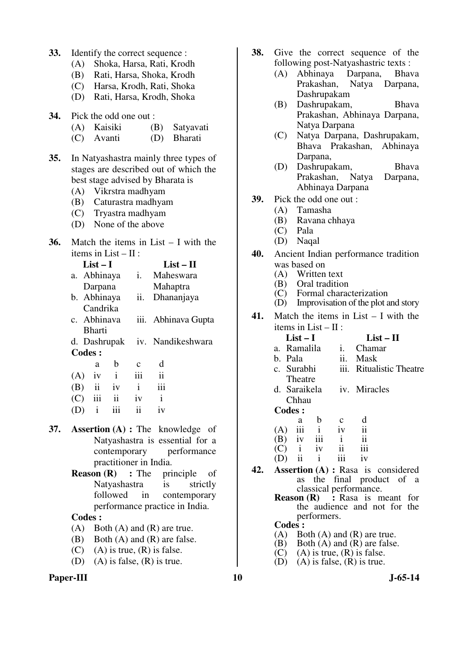- **33.** Identify the correct sequence :
	- (A) Shoka, Harsa, Rati, Krodh
	- (B) Rati, Harsa, Shoka, Krodh
	- (C) Harsa, Krodh, Rati, Shoka
	- (D) Rati, Harsa, Krodh, Shoka
- **34.** Pick the odd one out :
	- (A) Kaisiki (B) Satyavati
	- (C) Avanti (D) Bharati
- **35.** In Natyashastra mainly three types of stages are described out of which the best stage advised by Bharata is
	- (A) Vikrstra madhyam
	- (B) Caturastra madhyam
	- (C) Tryastra madhyam
	- (D) None of the above
- **36.** Match the items in List I with the items in List  $-$  II  $\cdot$

|  | $List-I$      |              |     | $List-II$           |
|--|---------------|--------------|-----|---------------------|
|  | a. Abhinaya   |              | İ.  | Maheswara           |
|  | Darpana       |              |     | Mahaptra            |
|  | b. Abhinaya   |              | ii. | Dhananjaya          |
|  | Candrika      |              |     |                     |
|  | c. Abhinava   |              |     | iii. Abhinava Gupta |
|  | <b>Bharti</b> |              |     |                     |
|  |               | d. Dashrupak |     | iv. Nandikeshwara   |
|  | <b>Codes:</b> |              |     |                     |
|  | a             | h            | с   | d                   |
|  | 1V            | $\mathbf{i}$ |     |                     |

| $(B)$ ii iv |              | $\mathbf{i}$        | iii          |
|-------------|--------------|---------------------|--------------|
|             | $(C)$ iii ii | iv                  | $\mathbf{i}$ |
| $(D)$ i iii |              | $\ddot{\mathbf{u}}$ | iv           |

- **37. Assertion (A) :** The knowledge of Natyashastra is essential for a contemporary performance practitioner in India.
	- **Reason (R)** : The principle of Natyashastra is strictly followed in contemporary performance practice in India.

- (A) Both (A) and (R) are true.
- (B) Both (A) and (R) are false.
- (C) (A) is true,  $(R)$  is false.
- (D) (A) is false,  $(R)$  is true.
- Paper-III **10** J-65-14
- **38.** Give the correct sequence of the following post-Natyashastric texts :
	- (A) Abhinaya Darpana, Bhava Prakashan, Natya Darpana, Dashrupakam
	- (B) Dashrupakam, Bhava Prakashan, Abhinaya Darpana, Natya Darpana
	- (C) Natya Darpana, Dashrupakam, Bhava Prakashan, Abhinaya Darpana,
	- (D) Dashrupakam, Bhava Prakashan, Natya Darpana, Abhinaya Darpana
- **39.** Pick the odd one out :
	- (A) Tamasha
	- (B) Ravana chhaya
	- (C) Pala
	- (D) Naqal
- **40.** Ancient Indian performance tradition was based on<br>(A) Written
	- Written text
	- (B) Oral tradition<br>(C) Formal charac
	- Formal characterization
	- (D) Improvisation of the plot and story
- **41.** Match the items in List I with the items in List – II :

| $List-I$       | List $-$ II              |
|----------------|--------------------------|
| a. Ramalila    | <i>i.</i> Chamar         |
| b. Pala        | ii. Mask                 |
| c. Surabhi     | iii. Ritualistic Theatre |
| <b>Theatre</b> |                          |

d. Saraikela Chhau iv. Miracles

#### **Codes :**

|     | a            | b                | $\mathbf c$ | d   |
|-----|--------------|------------------|-------------|-----|
| (A) | iii          |                  | iv          | ii  |
| (B) | iv           | $\overline{111}$ |             | ii  |
| (C) | $\mathbf{1}$ | iv               | ii          | 111 |
| (D) | ii           |                  | 111         | iv  |

- **42. Assertion (A) :** Rasa is considered as the final product of a classical performance.<br>Reason (R) : Rasa is m
	- **Rasa** is meant for the audience and not for the performers.

- 
- (A) Both (A) and (R) are true.<br>(B) Both (A) and (R) are false. (B) Both (A) and (R) are false.<br>(C) (A) is true, (R) is false.
- $(C)$  (A) is true,  $(R)$  is false.<br>(D) (A) is false.  $(R)$  is true.
- $(A)$  is false,  $(R)$  is true.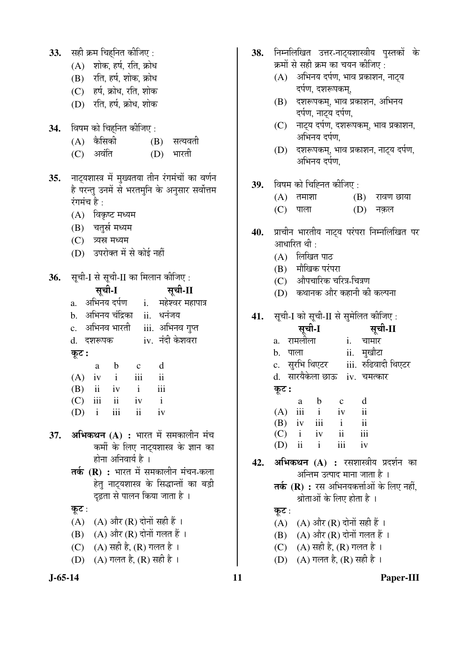|     | $\bf{33.}$ सही क्रम चिहनित कीजिए :         |                      |                    |                                                                                                                           |                           |                                                                            |
|-----|--------------------------------------------|----------------------|--------------------|---------------------------------------------------------------------------------------------------------------------------|---------------------------|----------------------------------------------------------------------------|
|     |                                            |                      |                    | (A) शोक, हर्ष, रति, क्रोध                                                                                                 |                           |                                                                            |
|     |                                            |                      |                    | (B) रति, हर्ष, शोक, क्रोध                                                                                                 |                           |                                                                            |
|     |                                            |                      |                    | (C) हर्ष, क्रोध, रति, शोक                                                                                                 |                           |                                                                            |
|     |                                            |                      |                    | (D) रति, हर्ष, क्रोध, शोक                                                                                                 |                           |                                                                            |
|     |                                            |                      |                    |                                                                                                                           |                           |                                                                            |
|     | <b>34.</b> विषम को चिहनित कीजिए :          |                      |                    |                                                                                                                           |                           |                                                                            |
|     |                                            | (A) कैसिकी           |                    |                                                                                                                           |                           | (B) सत्यवती                                                                |
|     |                                            | (C) अवंति            |                    |                                                                                                                           |                           | (D) भारती                                                                  |
|     |                                            |                      |                    |                                                                                                                           |                           |                                                                            |
|     |                                            |                      |                    |                                                                                                                           |                           | 35.   नाट्यशास्त्र में मुख्यतया तीन रंगमंचों का वर्णन                      |
|     |                                            |                      |                    |                                                                                                                           |                           | है परन्तु उनमें से भरतमुनि के अनुसार सर्वोत्तम                             |
|     | रंगमंच है :                                |                      |                    |                                                                                                                           |                           |                                                                            |
|     |                                            |                      | (A) विकृष्ट मध्यम  |                                                                                                                           |                           |                                                                            |
|     |                                            |                      | (B) चतुर्स्र मध्यम |                                                                                                                           |                           |                                                                            |
|     |                                            | $(C)$ त्र्यस्र मध्यम |                    |                                                                                                                           |                           |                                                                            |
|     |                                            |                      |                    | (D) उपरोक्त में से कोई नहीं                                                                                               |                           |                                                                            |
|     |                                            |                      |                    |                                                                                                                           |                           |                                                                            |
|     | 36.     सूची-I से सूची-II का मिलान कीजिए : |                      |                    |                                                                                                                           |                           |                                                                            |
|     |                                            | सूची-I               |                    |                                                                                                                           |                           | सूची-II                                                                    |
|     |                                            |                      |                    |                                                                                                                           |                           | a.   अभिनय दर्पण      i.    महेश्वर महापात्र                               |
|     |                                            |                      |                    | b. अभिनय चंद्रिका ii. धनंजय                                                                                               |                           |                                                                            |
|     |                                            |                      |                    |                                                                                                                           |                           | c.   अभिनव भारती     iii.  अभिनव गुप्त                                     |
|     |                                            |                      |                    |                                                                                                                           |                           | d. दशरूपक              iv. नंदी केशवरा                                     |
|     | कूट :                                      |                      |                    |                                                                                                                           |                           |                                                                            |
|     |                                            |                      |                    |                                                                                                                           |                           |                                                                            |
|     |                                            |                      |                    | $\begin{array}{ccccccccc}\n & & a & b & c & d \\ \text{(A)} & \text{iv} & \text{i} & \text{iii} & \text{ii}\n\end{array}$ |                           |                                                                            |
|     |                                            |                      | $(B)$ ii iv i      |                                                                                                                           | $\overline{\mathbf{iii}}$ |                                                                            |
|     |                                            |                      | $(C)$ iii ii iv    |                                                                                                                           | $\mathbf{i}$              |                                                                            |
|     |                                            |                      |                    | $(D)$ i iii ii iv                                                                                                         |                           |                                                                            |
|     |                                            |                      |                    |                                                                                                                           |                           |                                                                            |
| 37. |                                            |                      |                    |                                                                                                                           |                           | अभिकथन (A) : भारत में समकालीन मंच<br>कर्मी के लिए नाट्यशास्त्र के ज्ञान का |
|     |                                            |                      | होना अनिवार्य है । |                                                                                                                           |                           |                                                                            |
|     |                                            |                      |                    |                                                                                                                           |                           | <b>तर्क (R) :</b> भारत में समकालीन मंचन-कला                                |
|     |                                            |                      |                    |                                                                                                                           |                           | हेतु नाट्यशास्त्र के सिद्धान्तों का बड़ी                                   |
|     |                                            |                      |                    | दृढ़ता से पालन किया जाता है ।                                                                                             |                           |                                                                            |
|     | कूट :                                      |                      |                    |                                                                                                                           |                           |                                                                            |
|     |                                            |                      |                    | (A) (A) और (R) दोनों सही हैं ।                                                                                            |                           |                                                                            |
|     |                                            |                      |                    | (B) (A) और (R) दोनों गलत हैं।                                                                                             |                           |                                                                            |
|     |                                            |                      |                    | (C) (A) सही है, (R) गलत है।                                                                                               |                           |                                                                            |
|     |                                            |                      |                    |                                                                                                                           |                           |                                                                            |

- (D) (A) गलत है, (R) सही है।
- 
- 38. निम्नलिखित उत्तर-नाट्यशास्त्रीय पुस्तकों के क्रमों से सही क्रम का चयन कीजिए :
	- $(A)$  अभिनय दर्पण, भाव प्रकाशन, नाट्य दर्पण, दशरूपकम्,
	- $(B)$  दशरूपकम्, भाव प्रकाशन, अभिनय दर्पण, नाट्य दर्पण,
	- (C) नाट्य दर्पण, दशरूपकम्, भाव प्रकाशन, अभिनय दर्पण,
	- (D) दशरूपकम्, भाव प्रकाशन, नाट्य दर्पण, अभिनय दर्पण,
- 39. विषम को चिह्नित कीजिए:

| $(A)$ तमाशा | $(B)$ रावण छाया |
|-------------|-----------------|
|             |                 |

- (C) पाला (D) नक़ल
- 40. प्राचीन भारतीय नाट्य परंपरा निम्नलिखित पर आधारित थी :
	- $(A)$  लिखित पाठ
	- (B) मौखिक परंपरा
	- (C) औपचारिक चरित्र-चित्रण
	- (D) कथानक और कहानी की कल्पना
- 41. सूची-I को सूची-II से सुमेलित कीजिए:

|       |              | सूची-I       |              |    | सूची-II                            |
|-------|--------------|--------------|--------------|----|------------------------------------|
|       | a. रामलीला   |              |              | i. | चामार                              |
| b.    | पाला         |              |              |    | ii. मुखौटा                         |
|       |              |              |              |    | c. सुरभि थिएटर iii. रुढिवादी थिएटर |
|       |              |              |              |    | d. सारयैकेला छाऊ iv. चमत्कार       |
| कूट : |              |              |              |    |                                    |
|       | a            | b            | $\mathbf{c}$ |    | d                                  |
| (A)   | iii          | $\mathbf{i}$ | iv           |    | $\overline{\textbf{ii}}$           |
|       | $(B)$ iv     | iii          | $\mathbf{i}$ |    | $\mathbf{ii}$                      |
| (C)   | $\mathbf{i}$ | iv           | ii           |    | iii                                |

- (D) ii i iii iv
- 42. अभिकथन (A) : रसशास्त्रीय प्रदर्शन का अन्तिम उत्पाद माना जाता है ।
	- **तर्क (R) :** रस अभिनयकर्त्ताओं के लिए नहीं, श्रोताओं के लिए होता है ।

### कूट $:$

 $(A)$   $(A)$  और  $(R)$  दोनों सही हैं।

 $(B)$   $(A)$  और  $(R)$  दोनों गलत हैं।

(C) (A) सही है, (R) गलत है।

- (D) (A) गलत है, (R) सही है ।
- **J-65-14 11 Paper-III**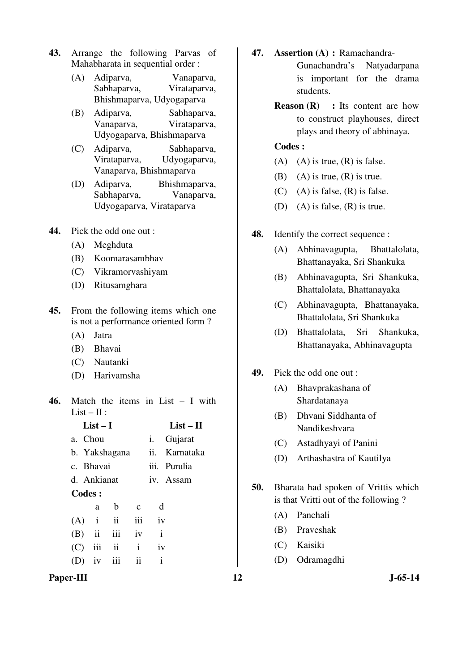- **43.** Arrange the following Parvas of Mahabharata in sequential order :
	- (A) Adiparva, Vanaparva, Sabhaparva, Virataparva, Bhishmaparva, Udyogaparva
	- (B) Adiparva, Sabhaparva, Vanaparva, Virataparva, Udyogaparva, Bhishmaparva
	- (C) Adiparva, Sabhaparva, Virataparva, Udyogaparva, Vanaparva, Bhishmaparva
	- (D) Adiparva, Bhishmaparva, Sabhaparva, Vanaparva, Udyogaparva, Virataparva
- **44.** Pick the odd one out :
	- (A) Meghduta
	- (B) Koomarasambhav
	- (C) Vikramorvashiyam
	- (D) Ritusamghara
- **45.** From the following items which one is not a performance oriented form ?
	- (A) Jatra
	- (B) Bhavai
	- (C) Nautanki
	- (D) Harivamsha
- **46.** Match the items in List I with  $List - II:$

|             | $List-I$ |                     |               |              | $List - II$   |
|-------------|----------|---------------------|---------------|--------------|---------------|
| a. Chou     |          |                     | i.            | Gujarat      |               |
|             |          | b. Yakshagana       |               |              | ii. Karnataka |
| c. Bhavai   |          |                     |               |              | iii. Purulia  |
| d. Ankianat |          |                     |               |              | iv. Assam     |
| Codes :     |          |                     |               |              |               |
|             | a.       | b                   | $\mathbf{c}$  | d            |               |
| $(A)$ i     |          | $\ddot{\mathbf{i}}$ | iii           | iv           |               |
| $(B)$ ii    |          | iii                 | iv            | $\mathbf{i}$ |               |
| (C)         | iii      | ii                  | $\mathbf{i}$  | iv           |               |
| (D)         | iv       | iii                 | $\mathbf{ii}$ | $\mathbf{i}$ |               |

- **47. Assertion (A) :** Ramachandra-
	- Gunachandra's Natyadarpana is important for the drama students.
	- **Reason (R)** : Its content are how to construct playhouses, direct plays and theory of abhinaya.

- (A) (A) is true,  $(R)$  is false.
- (B) (A) is true,  $(R)$  is true.
- $(C)$  (A) is false,  $(R)$  is false.
- (D) (A) is false,  $(R)$  is true.
- **48.** Identify the correct sequence :
	- (A) Abhinavagupta, Bhattalolata, Bhattanayaka, Sri Shankuka
	- (B) Abhinavagupta, Sri Shankuka, Bhattalolata, Bhattanayaka
	- (C) Abhinavagupta, Bhattanayaka, Bhattalolata, Sri Shankuka
	- (D) Bhattalolata, Sri Shankuka, Bhattanayaka, Abhinavagupta
- **49.** Pick the odd one out :
	- (A) Bhavprakashana of Shardatanaya
	- (B) Dhvani Siddhanta of Nandikeshvara
	- (C) Astadhyayi of Panini
	- (D) Arthashastra of Kautilya
- **50.** Bharata had spoken of Vrittis which is that Vritti out of the following ?
	- (A) Panchali
	- (B) Praveshak
	- (C) Kaisiki
	- (D) Odramagdhi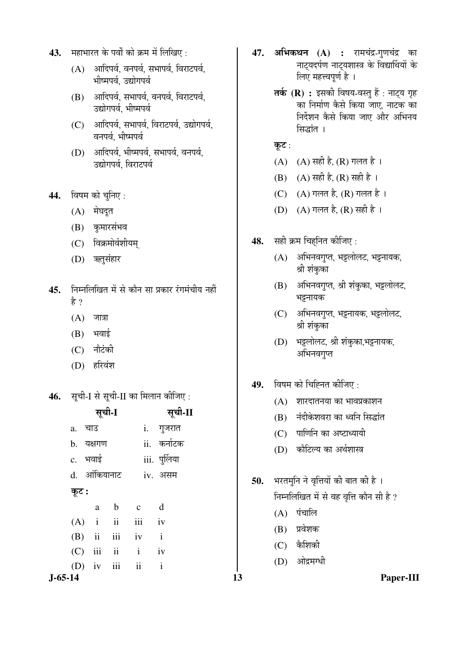- 43. महाभारत के पर्वों को क्रम में लिखिए :
	- $(A)$  आदिपर्व, वनपर्व, सभापर्व, विराटपर्व, भीष्मपर्व. उद्योगपर्व
	- (B) आदिपर्व, सभापर्व, वनपर्व, विराटपर्व, उद्योगपर्व, भीष्मपर्व
	- (C) आदिपर्व, सभापर्व, विराटपर्व, उद्योगपर्व, वनपर्व भ<del>ौ</del>ष्मपर्व
	- (D) आदिपर्व, भीष्मपर्व, सभापर्व, वनपर्व, उद्योगपर्व. विराटपर्व
- 44. विषम को चुनिए:
	- $(A)$  मेघदूत
	- (B) कुमारसंभव
	- $(C)$  विक्रमोर्वशीयम्
	- (D) ऋतुसंहार
- 45. FEH**लिखित में से कौन सा प्रकार रंगमंचीय** नहीं हे ?
	- $(A)$  जात्रा
	- $(B)$  भवाई
	- (C) नौटंकी
	- (D) हरिवंश
- **46.** सूची-I से सूची-II का मिलान कीजिए :

|        |                 | सूची-I |                   | सूची-II       |
|--------|-----------------|--------|-------------------|---------------|
| a. चाउ |                 |        |                   | i. गुजरात     |
|        | b. यक्षगण       |        |                   | ii. कर्नाटक   |
|        | c. भवाई         |        |                   | iii. पुर्लिया |
|        | d. आंकियानाट    |        |                   | iv. असम       |
| कूट :  |                 |        |                   |               |
|        |                 |        | a b c d           |               |
|        |                 |        | $(A)$ i ii iii iv |               |
|        | $(B)$ ii iii iv |        |                   | $\mathbf{i}$  |
|        |                 |        | $(C)$ iii ii i    | iv            |
|        |                 |        | $(D)$ iv iii ii i |               |

- 47. अभिकथन (A) : रामचंद्र-गुणचंद्र का नाट्यदर्पण नाट्यशास्त्र के विद्यार्थियों के लिए महत्त्वपूर्ण है ।
	- तर्क (R) : इसकी विषय-वस्तु हैं : नाट्य गृह का निर्माण कैसे किया जाए, नाटक का **निर्देशन कैसे किया जाए और अभिनय** सिद्धांत**।**
	- कूट:
	- (A) (A) सही है, (R) गलत है ।
	- (B) (A) सही है, (R) सही है ।
	- (C)  $(A)$  गलत है,  $(R)$  गलत है।
	- (D) (A) गलत है, (R) सही है ।
- 48. सही क्रम चिहनित कीजिए:
	- $(A)$  अभिनवगप्त, भट्टलोलट, भट्टनायक, श्री शंकुका
	- $(B)$  अभिनवगुप्त, श्री शंकुका, भट्टलोलट, भइनायक
	- (C) अभिनवगुप्त, भट्टनायक, भट्टलोलट, श्री शंकुका
	- (D) भट्टलोलट, श्री शंकुका,भट्टनायक, अभिनवगृप्त
- 49. विषम को चिह्नित कीजिए:
	- $(A)$  शारदातनया का भावप्रकाशन
	- (B) नंदीकेशवरा का ध्वनि सिद्धांत
	- $(C)$  पाणिनि का अष्टाध्यायी
	- (D) कौटिल्य का अर्थशास्त्र
- **50.** भरतमुनि ने वृत्तियों की बात की है। <u>निम्नलिखित में से वह वृत्ति कौन सी है ?</u>
	- $(A)$  पंचालि
	- (B) प्रवेशक
	- $(C)$  कैशिकी
	- (D) ओद्रमग्धी

**J-65-14 13 Paper-III**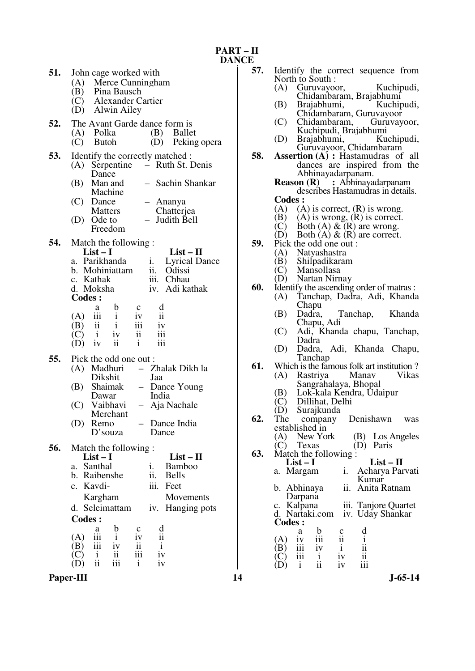**PART – II DANCE** 

**51.** John cage worked with (A) Merce Cunningham<br>(B) Pina Bausch (B) Pina Bausch<br>(C) Alexander C (C) Alexander Cartier<br>(D) Alwin Ailey Alwin Ailey **52.** The Avant Garde dance form is<br>(A) Polka (B) Ballet (A) Polka<br>(C) Butoh (C) Butoh (D) Peking opera **53.** Identify the correctly matched : (A) Serpentine Dance – Ruth St. Denis (B) Man and Machine – Sachin Shankar (C) Dance **Matters** – Ananya **Chatteriea** (D) Ode to Freedom – Judith Bell **54.** Match the following :<br>List - I **List – I**<br>a. Parikhanda i. Lyrical D. i. Lyrical Dance<br>ii. Odissi b. Mohiniattam ii. Odissi c. Kathak iii.<br>d. Moksha iv. iv. Adi kathak **Codes :**  a b c d  $(A)$  iii i iv ii<br> $(B)$  ii i iii iv (B) ii ii iii iv  $(C)$  i iv ii iii  $\begin{array}{ccc} \text{(C)} & \text{i} & \text{iv} & \text{ii} & \text{iii} \\ \text{(D)} & \text{iv} & \text{ii} & \text{i} & \text{iii} \end{array}$  $(D)$ **55.** Pick the odd one out : (A) Madhuri Dikshit – Zhalak Dikh la Jaa (B) Shaimak Dawar – Dance Young India (C) Vaibhavi Merchant – Aja Nachale (D) Remo D'souza – Dance India Dance **56.** Match the following :<br>List – I  **List – I List – II**  a. Santhal i. Bamboo.<br>b. Raibenshe ii. Bells b. Raibenshe ii. c. Kavdi-Kargham iii. Feet Movements d. Seleimattam iv. Hanging pots **Codes :**  a b c d  $(A)$   $\begin{array}{ccc} a & b & c & d \\ \n\text{(A)} & \text{iii} & \text{i} & \text{iv} & \text{ii} \\ \n\text{(B)} & \text{iii} & \text{iv} & \text{ii} & \text{i} \n\end{array}$  $\begin{matrix} \n\overline{B} & \overline{iii} & \overline{iv} & \overline{ii} & \overline{i} \\ \n\overline{C} & \overline{i} & \overline{ii} & \overline{iii} & \overline{iv} \n\end{matrix}$  $\begin{matrix} (C) & i & ii & iii & iv \\ (D) & ii & iii & i & iv \end{matrix}$  $(D)$  ii iii i iv

Paper-III **14** J-65-14

- **57.** Identify the correct sequence from North to South :<br>(A) Guruvayoo
	- Guruvayoor, Kuchipudi, Chidambaram, Brajabhumi
	- (B) Brajabhumi, Kuchipudi,
	- Chidambaram, Guruvayoor<br>Chidambaram, Guruvayoor, (C) Chidambaram,
- Kuchipudi, Brajabhumi<br>Brajabhumi, Kuchipudi, (D) Brajabhumi, Kuchipudi, Guruvayoor, Chidambaram
- **58. Assertion** (A) : Hastamudras of all dances are inspired from the Abhinayadarpanam.<br>**Reason (R)** : Abhinaya

**:** Abhinayadarpanam describes Hastamudras in details.

- **Codes :**<br>(A) (A)
- (A) (A) is correct,  $(R)$  is wrong.<br>(B) (A) is wrong,  $(R)$  is correct.
- (B) (A) is wrong, (R) is correct.<br>(C) Both (A) & (R) are wrong. (C) Both (A)  $\&$  (R) are wrong.<br>(D) Both (A)  $\&$  (R) are correct.
- (D) Both (A)  $\&$  (R) are correct.<br>59. Pick the odd one out:
- Pick the odd one out :<br>(A) Natyashastra
	- (A) Natyashastra
	- (B) Shilpadikaram
	-
- (C) Mansollasa (D) Nartan Nirnay<br>**60.** Identify the ascending
	- **Identify the ascending order of matras :**<br>(A) Tanchap, Dadra, Adi, Khanda
		- Tanchap, Dadra, Adi, Khanda Chapu<br>Dadra,
		- (B) Dadra, Tanchap, Khanda Chapu, Adi
		- (C) Adi, Khanda chapu, Tanchap, Dadra
		- (D) Dadra, Adi, Khanda Chapu, Tanchap
- **61.** Which is the famous folk art institution?<br>
(A) Rastriya Manay Vikas Rastriya Sangrahalaya, Bhopal
	-
	- (B) Lok-kala Kendra, Udaipur (C) Dillihat, Delhi
	-
- (D) Surajkunda<br>**62.** The company Denishawn was established in<br>(A) New York
- (A) New York (B) Los Angeles<br>(C) Texas (D) Paris (C) Texas (D) Paris **63.** Match the following : Match the following :<br>List – I  **List – I List – II**  Acharya Parvati Kumar b. Abhinaya Darpana<br>Kalpana ii. Anita Ratnam c. Kalpana iii. Tanjore Quartet<br>d. Nartaki.com iv. Uday Shankar iv. Uday Shankar **Codes :**  a b c d  $(A)$  iv  $iii$   $ii$   $i$ <br> $(B)$   $iii$   $iv$   $i$   $ii$

 $\begin{matrix} \n(B) & \text{iii} & \text{iv} & \text{i} & \text{ii} \\ \n(C) & \text{iii} & \text{i} & \text{iv} & \text{ii} \n\end{matrix}$  $\begin{matrix}\n(C) & \text{iii} & \text{i} & \text{iv} & \text{ii} \\
(D) & \text{i} & \text{ii} & \text{iv} & \text{iii}\n\end{matrix}$ 

 $(D)$  i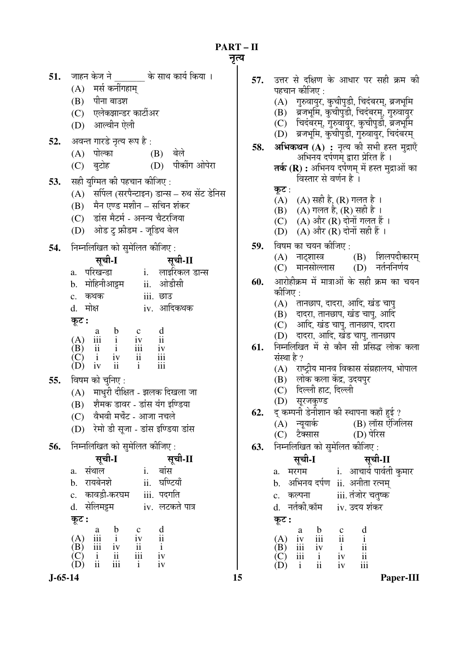नत्य

|     |                                                                                                                                                                                                                                                                                                                                              | ċ |
|-----|----------------------------------------------------------------------------------------------------------------------------------------------------------------------------------------------------------------------------------------------------------------------------------------------------------------------------------------------|---|
|     | $\mathbf{51.}$ जाहन केज ने<br>के साथ कार्य किया ।                                                                                                                                                                                                                                                                                            |   |
|     | (A) मर्स कनींगहाम्                                                                                                                                                                                                                                                                                                                           |   |
|     | (B) पीना बाउश                                                                                                                                                                                                                                                                                                                                |   |
|     | (C) एलेकझान्डर कार्टीअर                                                                                                                                                                                                                                                                                                                      |   |
|     | (D) आल्वीन ऐली                                                                                                                                                                                                                                                                                                                               |   |
|     | 52.    अवन्त गारडे नृत्य रूप है :                                                                                                                                                                                                                                                                                                            |   |
|     | (A) पोल्का<br>(B) बेले                                                                                                                                                                                                                                                                                                                       |   |
|     | (D) पीकींग ओपेरा<br>(C) बुटोह                                                                                                                                                                                                                                                                                                                |   |
| 53. | सही युग्मित की पहचान कीजिए:                                                                                                                                                                                                                                                                                                                  |   |
|     | (A) सर्पिल (सरपैन्टाइन) डान्स – रुथ सेंट डेनिस                                                                                                                                                                                                                                                                                               |   |
|     | (B) मैन एण्ड मशीन – सचिन शंकर                                                                                                                                                                                                                                                                                                                |   |
|     | (C) डांस मैटर्म - अनन्य चैटरजिया                                                                                                                                                                                                                                                                                                             |   |
|     | (D) ओड टु फ्रीडम - जूडिथ बेल                                                                                                                                                                                                                                                                                                                 |   |
| 54. | निम्नलिखित को सुमेलित कीजिए:                                                                                                                                                                                                                                                                                                                 |   |
|     | सूची-I<br>सूची-II                                                                                                                                                                                                                                                                                                                            |   |
|     | i. लाइरिकल डान्स<br>a. परिखन्डा                                                                                                                                                                                                                                                                                                              |   |
|     | b. मोहिनीआट्टम ii. ओडीसी                                                                                                                                                                                                                                                                                                                     |   |
|     | iii. छाउ<br>c. कथक                                                                                                                                                                                                                                                                                                                           |   |
|     | d. मोक्ष<br>iv. आदिकथक                                                                                                                                                                                                                                                                                                                       |   |
|     | कूट :                                                                                                                                                                                                                                                                                                                                        |   |
|     | (A) $\frac{a}{b}$ ii $\frac{b}{c}$ iv (B) ii $\frac{c}{d}$ ii $\frac{c}{d}$ ii $\frac{c}{d}$ ii $\frac{c}{d}$ ii $\frac{c}{d}$ ii $\frac{c}{d}$ ii $\frac{c}{d}$ ii $\frac{c}{d}$ ii $\frac{c}{d}$ ii $\frac{c}{d}$ ii $\frac{c}{d}$ ii $\frac{c}{d}$ ii $\frac{c}{d}$ ii $\frac{c}{d}$ ii $\$<br>$\frac{\mathrm{d}}{\mathrm{i} \mathrm{i}}$ |   |
|     |                                                                                                                                                                                                                                                                                                                                              |   |
|     | $\frac{iv}{iii}$<br>iii                                                                                                                                                                                                                                                                                                                      |   |
|     |                                                                                                                                                                                                                                                                                                                                              |   |
|     | <b>55.</b> विषम को चुनिए :                                                                                                                                                                                                                                                                                                                   |   |
|     | (A) माधुरी दीक्षित - झलक दिखला जा                                                                                                                                                                                                                                                                                                            |   |
|     | (B) शैमक डावर - डांस यंग इण्डिया<br>(C) वैभवी मर्चेंट - आजा नचले                                                                                                                                                                                                                                                                             |   |
|     | (D) रेमो डी सूजा - डांस इण्डिया डांस                                                                                                                                                                                                                                                                                                         |   |
|     |                                                                                                                                                                                                                                                                                                                                              |   |
| 56. | निम्नलिखित को सुमेलित कीजिए:                                                                                                                                                                                                                                                                                                                 |   |
|     | सूची-I<br>सूची-II                                                                                                                                                                                                                                                                                                                            |   |
|     | a. संथाल<br>बांस<br>i.                                                                                                                                                                                                                                                                                                                       |   |
|     | b. रायबेनशे<br>ii. घण्टियाँ                                                                                                                                                                                                                                                                                                                  |   |
|     | c. कावड़ी-करघम<br>iii. पदगति                                                                                                                                                                                                                                                                                                                 |   |
|     | d. सेलिमट्टम<br>iv.  लटकते पात्र                                                                                                                                                                                                                                                                                                             |   |
|     | कूट :<br>$\mathfrak b$<br>$\mathbf c$                                                                                                                                                                                                                                                                                                        |   |
|     | $\frac{d}{ii}$<br>$\frac{a}{111}$<br>$\mathbf{i}$<br>(A)<br>iv                                                                                                                                                                                                                                                                               |   |
|     | $\begin{array}{ccc}\n\overline{\mathbf{iii}} & \mathbf{iv} \\ \mathbf{ii} & \mathbf{ii} \\ \mathbf{ii} & \mathbf{iii}\n\end{array}$<br>$\frac{ii}{iii}$<br>$\mathbf{i}$<br>(B)<br>iv                                                                                                                                                         |   |
|     | $\overline{(\mathbf{C})}$<br>$\frac{1}{11}$<br>$\mathbf{i}$<br>iv                                                                                                                                                                                                                                                                            |   |

57. उत्तर से दक्षिण के आधार पर सही क्रम की पहचान कीजिए : (A) गुरुवायुर, कुचीपुडी, चिदंबरम्, ब्रजभूमि  $\overrightarrow{(B)}$  ब्रेजभूमि, कुचीपुडी, चिदंबरम्, गुरुवायुर  $(C)$  चिदंबरम्, गुरुवायुर, कुचीपुडी, ब्रजभूमि (D) ब्रजभूमि, कुचीपुडी, गुरुवायुर, चिदंबरम् 58. अभिकथन (A) : नृत्य की सभी हस्त मुद्राएँ अभिनय दर्पणम् द्वारा प्रेरित हैं । **तर्क (R) :** अभिनय दर्पणम् में हस्त मुद्राओं का विस्तार से वर्णन है । कट $:$  $(A)$  (A) सही है, (R) गलत है।  $(B)$  (A) गलत है, (R) सही है । (C)  $(A)$  और  $(R)$  दोनों गलत हैं।  $(D)$   $(A)$  और  $(R)$  दोनों सही हैं । **59.** विषम का चयन कीजिए :<br>(A) नाटशास्त्र (B) शिलपदीकारम्<br>(D) नर्तननिर्णय (C) मानसोल्लास **60.** आरोहीक्रम में मात्राओं के सही क्रम का चयन कीजिए :  $(A)$  तानछाप, दादरा, आदि, खंड चाप् (B) दादरा, तानछाप, खंड चापु, आदि (C) आदि, खंड चापु, तानछाप, दादरा  $(D)$  दादरा, आदि, खेंड चापु, तानछाप 61. निम्नलिखित में से कौन सी प्रसिद्ध लोक कला संस्था है ?  $(A)$  राष्ट्रीय मानव विकास संग्रहालय, भोपाल (B) लोक कला केंद्र, उदयपुर (C) दिल्ली हाट, दिल्ली (D) सूरजकुण्ड **62.** द् कम्पनी डेनीशान की स्थापना कहाँ हुई ?<br>(A) न्ययार्क (B) लॉस एंजिलि (B) लॉस ऐंजिलिस<br>(D) पेरिस  $(C)$  टैक्सास **63.** निम्नलिखित को सुमेलित कीजिए : ÃÖæ"Öß**-I** ÃÖæ"Öß**-II**  a. ´Ö¸üÝÖ´Ö i. †Ö"ÖÖµÖÔ ¯ÖÖ¾ÖÔŸÖß Ûãú´ÖÖ¸ü b. अभिनय दर्पण ii. अनीता रत्नम् c. कल्पना iii. तंजोर चतष्क d. नर्तकी.कॉम iv. उदय शंकर  $\overline{\phi}$ : a b c d  $(A)$  iv  $iii$   $ii$   $i$ <br> $(B)$   $iii$   $iv$   $i$   $ii$ 

 (B) iii iv i ii (C) iii i iv ii  $(D)$  i ii iv iii

**J-65-14 15 Paper-III**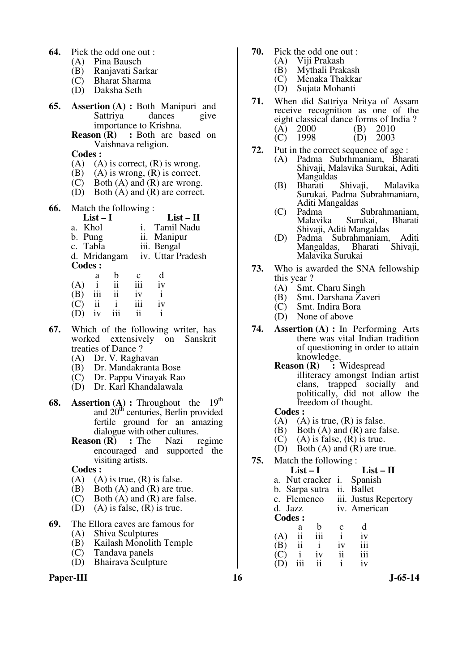- **64.** Pick the odd one out :
	- (A) Pina Bausch
	- (B) Ranjavati Sarkar
	- Bharat Sharma
	- (D) Daksha Seth
- **65. Assertion (A) :** Both Manipuri and Sattriya dances give importance to Krishna.
	- **Reason (R)** : Both are based on Vaishnava religion.

- $(A)$   $(A)$  is correct,  $(R)$  is wrong.
- (B) (A) is wrong,  $(R)$  is correct.<br>(C) Both  $(A)$  and  $(R)$  are wrong.
- Both  $(A)$  and  $(R)$  are wrong.
- (D) Both (A) and (R) are correct.
- **66.** Match the following :

| $List-I$      | $List - II$                    |
|---------------|--------------------------------|
| a. Khol       | <b>Tamil Nadu</b><br>1.        |
| b. Pung       | ii. Manipur                    |
| c. Tabla      | iii. Bengal                    |
|               | d. Mridangam iv. Uttar Pradesh |
| <b>Codes:</b> |                                |
| h<br>а        | $\mathbf{c}$                   |
|               |                                |

|     | ື                       | .,                      |     | . . |
|-----|-------------------------|-------------------------|-----|-----|
| (A) |                         | ii                      | 111 | iv  |
| (B) | iii                     | $\overline{\mathbf{i}}$ | iv  |     |
| (C) | $\overline{\mathbf{u}}$ |                         | 111 | iv  |
| (D) | iv                      | iii                     | 11  |     |
|     |                         |                         |     |     |

- **67.** Which of the following writer, has worked extensively on Sanskrit treaties of Dance ?
	- (A) Dr. V. Raghavan
	- (B) Dr. Mandakranta Bose
	- (C) Dr. Pappu Vinayak Rao
	- (D) Dr. Karl Khandalawala
- **68. Assertion (A) :** Throughout the 19<sup>th</sup> and  $20<sup>th</sup>$  centuries, Berlin provided fertile ground for an amazing dialogue with other cultures.<br> **on**  $(\mathbf{R})$  : The Nazi regime
	- **Reason** (R) encouraged and supported the visiting artists.

 **Codes :**

- (A) (A) is true,  $(R)$  is false.<br>(B) Both  $(A)$  and  $(R)$  are true
- (B) Both (A) and (R) are true.<br>(C) Both (A) and (R) are false
- (C) Both (A) and (R) are false.<br>(D) (A) is false. (R) is true.
- $(A)$  is false,  $(R)$  is true.
- **69.** The Ellora caves are famous for
	- (A) Shiva Sculptures
	- (B) Kailash Monolith Temple
	- Tandava panels
	- (D) Bhairava Sculpture

#### Paper-III **16** J-65-14

- **70.** Pick the odd one out :
	- (A) Viji Prakash
	- (B) Mythali Prakash
	- Menaka Thakkar
	- (D) Sujata Mohanti
- **71.** When did Sattriya Nritya of Assam receive recognition as one of the eight classical dance forms of India ?  $(\overline{A})$  2000  $(\overline{B})$  2010<br>  $(\overline{C})$  1998  $(\overline{D})$  2003

 $(C)$  1998

- **72.** Put in the correct sequence of age : (A) Padma Subrhmaniam, Bharati Shivaji, Malavika Surukai, Aditi
	- Mangaldas<br>Bharati Shivaii. (B) Bharati Shivaji, Malavika Surukai, Padma Subrahmaniam,
	- Aditi Mangaldas (C) Padma Subrahmaniam,<br>Malavika Surukai, Bharati Surukai, Shivaji, Aditi Mangaldas
	- (D) Padma Subrahmaniam, Aditi Mangaldas, Malavika Surukai
- **73.** Who is awarded the SNA fellowship this year ?
	- (A) Smt. Charu Singh
	- (B) Smt. Darshana Zaveri
	- (C) Smt. Indira Bora
	- (D) None of above
- **74. Assertion (A) :** In Performing Arts there was vital Indian tradition of questioning in order to attain knowledge.
	- **Reason (R)** : Widespread illiteracy amongst Indian artist clans, trapped socially and politically, did not allow the freedom of thought.

- (A) (A) is true,  $(R)$  is false.<br>(B) Both  $(A)$  and  $(R)$  are fa
- (B) Both (A) and (R) are false.<br>(C) (A) is false, (R) is true.
- (A) is false,  $(R)$  is true.
- (D) Both (A) and (R) are true.
- **75.** Match the following :

| $List-I$   |  |                         |              | $List-II$ |                                   |  |  |
|------------|--|-------------------------|--------------|-----------|-----------------------------------|--|--|
|            |  |                         |              |           | a. Nut cracker i. Spanish         |  |  |
|            |  |                         |              |           | b. Sarpa sutra ii. Ballet         |  |  |
|            |  |                         |              |           | c. Flemenco iii. Justus Repertory |  |  |
| d. Jazz    |  |                         |              |           | iv. American                      |  |  |
|            |  | <b>Codes:</b>           |              |           |                                   |  |  |
|            |  | а                       | b            | C         |                                   |  |  |
|            |  | ii                      | iii          |           | iv                                |  |  |
| <b>B</b> ) |  | $\overline{\mathbf{u}}$ | $\mathbf{i}$ | 1V        | iii                               |  |  |
|            |  | i                       | 1V           | ii        | 111                               |  |  |
|            |  |                         |              |           |                                   |  |  |
|            |  |                         |              |           |                                   |  |  |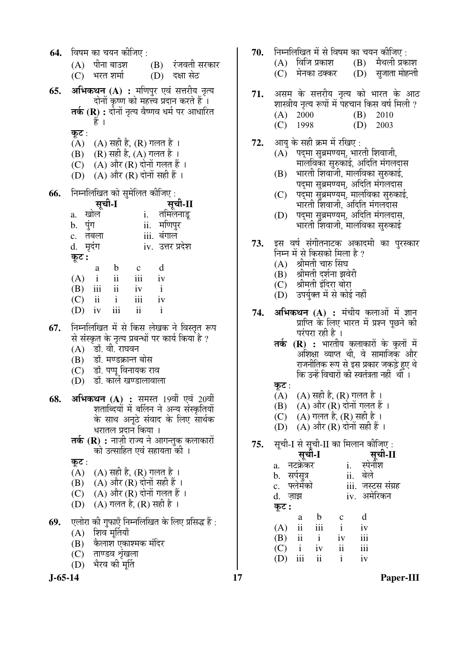| 64.       | विषम का चयन कीजिए :<br>(A) पीना बाउश<br>(B) रंजवती सरकार                                                                                                                                                                                                                                                                                                                                                      | 70.        | निम्नलिखित में से विषम का चयन कीजिए :<br>मैथली प्रकाश<br>$(A)$ विजि प्रकाश $(B)$                                                                                                                                                                                                                                                                                            |
|-----------|---------------------------------------------------------------------------------------------------------------------------------------------------------------------------------------------------------------------------------------------------------------------------------------------------------------------------------------------------------------------------------------------------------------|------------|-----------------------------------------------------------------------------------------------------------------------------------------------------------------------------------------------------------------------------------------------------------------------------------------------------------------------------------------------------------------------------|
| 65.       | (C) भरत शर्मा<br>(D) दक्षा सेठ<br>अभिकथन (A) : मणिपुर एवं सत्तरीय नृत्य<br>दोनों कृष्ण को महत्त्व प्रदान करते हैं ।<br>तर्क (R) : दोनों नृत्य वैष्णव धर्म पर आधारित                                                                                                                                                                                                                                           | 71.        | मेनका ठक्कर      (D)   सुजाता मोहन्ती<br>(C)<br>असम् के सत्तरीय नृत्य को भारत के आट<br>शास्त्रीय नृत्य रूपों में पहचान किस वर्ष मिली ?<br>(A)<br>2000<br>(B)<br>2010                                                                                                                                                                                                        |
| 66.       | है ।<br>कूट :<br>$(A)$ $(A)$ सही है, $(R)$ गलत है ।<br>(B) (R) सही है, (A) गलत है ।<br>(C) $(A)$ और $(R)$ दोनों गलत हैं।<br>(A) और (R) दोनों सही हैं ।<br>(D)<br>निम्नलिखित को सुमेलित कीजिए:<br>सूची-I<br>्सूची-II<br>i. तमिलनाडू<br>a. खोल<br>ii. मणिपुर<br>b. पुंग                                                                                                                                         | 72.        | (D)<br>(C)<br>1998<br>2003<br>आयु के सही क्रम में रखिए :<br>पद्मा सुब्रमण्यम्, भारती शिवाजी,<br>(A)<br>मालविका सुरुकाई, अदिति मंगलदास<br>भारती शिवाजी, मालविका सुरुकाई,<br>(B)<br>पद्मा सुब्रमण्यम्, अदिति मंगलदास<br>पद्मा सुब्रमण्यम्, मालविका सुरुकाई,<br>(C)<br>भारती शिवाजी, अदिति मंगलदास<br>पदमा सुब्रमण्यम्, अदिति मंगलदास,<br>(D)<br>भारती शिवाजी, मालविका सुरुकाई |
|           | iii. बंगाल<br>c. तबला<br>d. मृदंग<br>iv. उत्तर प्रदेश<br>कूट :<br>$\mathbf b$<br>d<br>$\mathbf{c}$<br>a<br>$\overline{\mathbf{u}}$<br>$\overline{\mathbf{iii}}$<br>$(A)$ i<br>iv<br>$(B)$ iii<br>$\overline{\mathbf{u}}$<br>$\mathbf{i}$<br>iv<br>ii<br>iii<br>$\mathbf{i}$<br>(C)<br>iv<br>iii<br>$\mathbf{ii}$<br>$\mathbf{i}$<br>(D)<br>iv                                                                 | 73.<br>74. | इस वर्ष संगीतनाटक अकादमी का पुरस्कार<br>निम्न में से किसको मिला है ?<br>(A) श्रीमती चारु सिंघ<br>(B) श्रीमती दर्शना झवेरी<br>(C) श्रीमती इंदिरा बोरा<br>उपर्युक्त में से कोई नहीं<br>(D)<br>अभिकथन (A) : मंचीय कलाओं में ज्ञान                                                                                                                                              |
| 67.       | निम्नलिखित में से किस लेखक ने विस्तृत रूप<br>से संस्कृत के नृत्य प्रबन्धों पर कार्य किया है ?<br>(A) डॉ. वी. राघवन<br>(B) डॉ. मण्डक्रान्त बोस<br>(C) डॉ. पप्पू विनायक राव<br>(D) डॉ. कार्ल खण्डालावाला                                                                                                                                                                                                        |            | प्राप्ति के लिए भारत में प्रश्न पूछने की<br>परंपरा रही है ।<br>तर्क $(R)$ : भारतीय कलाकारों के कुलों में<br>अशिक्षा व्याप्त थी, वे सामाजिक और<br>राजनीतिक रूप से इस प्रकार जकड़े हुए थे<br>कि उन्हें विचारों की स्वतंत्रता नहीं थी ।<br>कूट :                                                                                                                               |
| 68.       | <b>अभिकथन (A) :</b> समस्त 19वीं एवं 20वीं<br>शताब्दियों में बर्लिन ने अन्य संस्कृतियों<br>के साथ अनूठे संवाद के लिए सार्थक<br>धरातल प्रदान किया ।<br><b>तर्क (R) :</b> नाज़ी राज्य ने आगन्तुक कलाकारों<br>को उत्साहित एवं सहायता की ।<br>कूट :<br>$(A)$ सही है, $(R)$ गलत है ।<br>(A)<br>$(A)$ और $(R)$ दोनों सही हैं ।<br>(B)<br>$(A)$ और $(R)$ दोनों गलत हैं।<br>(C)<br>$(A)$ गलत है, $(R)$ सही है ।<br>(D) | 75.        | (A) (A) सही है, (R) गलत है ।<br>(B) (A) और (R) दोनों गलत हैं ।<br>$(A)$ गलत है, $(R)$ सही है ।<br>(C)<br>(D) $(A)$ और (R) दोनों सही हैं ।<br>सूची-I से सूची-II का मिलान कीजिए :<br>सूची-II<br>सूची-I<br>स्पेनींश<br>नटक्रेकर<br>i.<br>a.<br>ii.<br>बेले<br>b. सर्पसूत्र<br>फ्लेमेंको<br>iii. जस्टस संग्रह<br>$\mathbf{c}$ .<br>iv. अमेरिकन<br>d.<br>ज़ाझ<br>कूट :           |
| 69.       | एलोरा की गुफाएँ निम्नलिखित के लिए प्रसिद्ध हैं :<br>शिव मूर्तियाँ<br>(A)<br>कैलाश एकाश्मक मंदिर<br>(B)<br>ताण्डव श्रृंखला<br>(C)<br>भैरव की मूर्ति<br>(D)                                                                                                                                                                                                                                                     |            | d<br>$\mathbf b$<br>$\mathbf c$<br>a<br>iii<br>ii<br>$\mathbf{i}$<br>(A)<br>iv<br>iii<br>$\ddot{\mathbf{i}}$<br>$\mathbf{i}$<br>(B)<br>iv<br>ii<br>iii<br>$\mathbf{i}$<br>(C)<br>iv<br>ii<br>iii<br>$\mathbf{i}$<br>iv<br>(D)                                                                                                                                               |
| $J-65-14$ |                                                                                                                                                                                                                                                                                                                                                                                                               | 17         | Paper-III                                                                                                                                                                                                                                                                                                                                                                   |
|           |                                                                                                                                                                                                                                                                                                                                                                                                               |            |                                                                                                                                                                                                                                                                                                                                                                             |

|  | <b>70.</b> निम्नलिखित में से विषम का चयन कीजिए: |                    |
|--|-------------------------------------------------|--------------------|
|  | $(A)$ विजि प्रकाश $(B)$ मैथली प्रकाश            |                    |
|  | (C) मेनका ठक्कर                                 | (D) सुजाता मोहन्ती |
|  |                                                 |                    |

- **71.** असम के सत्तरीय नृत्य को भारत के आठ शास्त्रीय नृत्य रूपों में पहचान किस वर्ष मिली ? (A) 2000 (B) 2010
	- (C) 1998 (D) 2003
- **72.** आयु के सही क्रम में रखिए :
	- $(A)$  पद्मा सुब्रमण्यम्, भारती शिवाजी, <u>मा</u>लविका सुरुकोई, अदिति मंगलंदास
	- $(B)$  भारती शिवाजी, मालविका सुरुकाई, पदमा सुब्रमण्यम्, अदिति मंगलदास
	- $(C)$  पद्मा सुब्रमण्यम्, मालविका सुरुकाई, भारती शिवाजी, अदिति मंगलदास
	- (D) पदमा सुब्रमण्यम्, अदिति मंगलदास, भारती शिवाजी, मालविका सुरुकाई
- 73. इस वर्ष संगीतनाटक अकादमी का पुरस्कार निम्न में से किसको मिला है ?
	- $(A)$  श्रीमती चारु सिंघ
	- $(B)$  श्रीमती दर्शना झवेरी<br>(C) श्रीमती इंदिरा बोरा
	- श्रीमती इंदिरा बोरा
	- $(D)$  उपर्यक्त में से कोई नहीं
- 74. अभिकथन (A) : मंचीय कलाओं में ज्ञान प्राप्ति के लिए भारत में प्रश्न पूछने की परंपरा रही है ।
	- तर्क (R) : भारतीय कलाकारों के कुलों में  $\overline{a}$ अशिक्षा व्याप्त थी, वे सामाजिक और राजनीतिक रूप से इस प्रकार जकड़े हुए थे कि उन्हें विचारों की स्वतंत्रता नहीं थीं ।
	- कुट $:$
	- $(A)$   $(A)$  सही है,  $(R)$  गलत है ।
	- $(B)$   $(A)$  और  $(R)$  दोनों गलत हैं।
	- (C)  $(A)$  गलत है,  $(R)$  सही है ।
	- $(D)$   $(A)$  और  $(R)$  दोनों सही हैं।
- 75. सूची-I से सूची-II का मिलान कीजि़ए :

|                | <b>सूची-I</b><br>नटक्रेकर |              |              | ्र <b>ूची-II</b><br>स्पेनीश<br>ेजे |
|----------------|---------------------------|--------------|--------------|------------------------------------|
| a.             |                           |              |              |                                    |
| b.             | सर्पसूत्र<br>फ्लेमेको     |              | ii.          | बेले                               |
| $\mathbf{c}$ . |                           |              | iii.         | जस्टस संग्रह                       |
| d. ज़ाझ        |                           |              | iv.          | अमेरिकन                            |
| कूट :          |                           |              |              |                                    |
|                | a                         | b            | C            | d                                  |
| (A)            | $\overline{\textbf{u}}$   | iii          | $\mathbf{i}$ | iv                                 |
| (B)            | $\overline{\mathbf{ii}}$  | $\mathbf{i}$ | iv           | iii                                |
| (C)            | i                         | iv           | ii           | iii                                |
| (D)            | iii                       | ii           | i            | iv                                 |
|                |                           |              |              |                                    |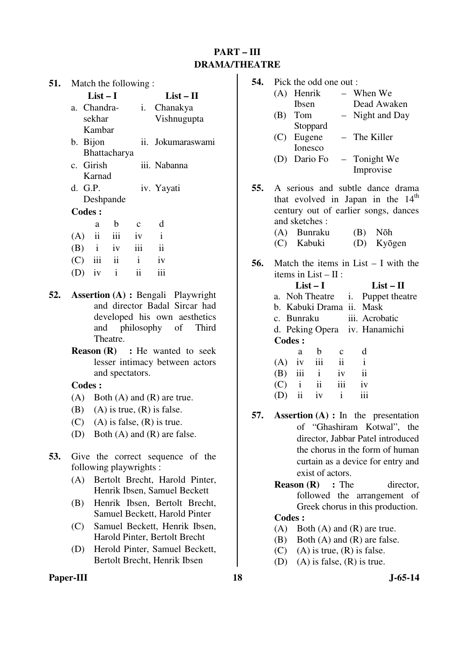#### **PART – III DRAMA/THEATRE**

- **51.** Match the following :  **List – I List – II**  a. Chandrasekhar Kambar i. Chanakya Vishnugupta b. Bijon Bhattacharya ii. Jokumaraswami c. Girish Karnad iii. Nabanna d. G.P. Deshpande iv. Yayati **Codes :**  a b c d  $(A)$  ii iii iv i  $(B)$  i iv iii ii  $(C)$  iii ii i iv (D) iv i ii iii
- **52. Assertion (A) :** Bengali Playwright and director Badal Sircar had developed his own aesthetics and philosophy of Third **Theatre** 
	- **Reason (R)** : He wanted to seek lesser intimacy between actors and spectators.

 **Codes :**

- (A) Both (A) and (R) are true.
- (B) (A) is true,  $(R)$  is false.
- $(C)$  (A) is false,  $(R)$  is true.
- (D) Both (A) and (R) are false.
- **53.** Give the correct sequence of the following playwrights :
	- (A) Bertolt Brecht, Harold Pinter, Henrik Ibsen, Samuel Beckett
	- (B) Henrik Ibsen, Bertolt Brecht, Samuel Beckett, Harold Pinter
	- (C) Samuel Beckett, Henrik Ibsen, Harold Pinter, Bertolt Brecht
	- (D) Herold Pinter, Samuel Beckett, Bertolt Brecht, Henrik Ibsen

```
Paper-III 18 J-65-14
```

| 54. | Pick the odd one out:                                   |
|-----|---------------------------------------------------------|
|     | (A) Henrik<br>- When We                                 |
|     | Dead Awaken<br>Ibsen                                    |
|     | (B) Tom<br>- Night and Day                              |
|     | Stoppard                                                |
|     | (C) Eugene<br>- The Killer                              |
|     | Ionesco                                                 |
|     | (D) Dario Fo - Tonight We                               |
|     | Improvise                                               |
| 55. | A serious and subtle dance drama                        |
|     | that evolved in Japan in the 14 <sup>th</sup>           |
|     | century out of earlier songs, dances                    |
|     | and sketches:                                           |
|     | $(B)$ Noh<br>(A) Bunraku                                |
|     | (D) Kyōgen<br>(C) Kabuki                                |
|     |                                                         |
| 56. | Match the items in $List - I$ with the                  |
|     | items in $List - II$ :                                  |
|     | $List-I$<br>$List - II$                                 |
|     | a. Noh Theatre i. Puppet theatre                        |
|     | b. Kabuki Drama ii. Mask                                |
|     | c. Bunraku iii. Acrobatic                               |
|     | d. Peking Opera iv. Hanamichi                           |
|     | <b>Codes:</b>                                           |
|     | $\mathbf b$<br>d<br>a<br>$\mathbf c$                    |
|     | $(A)$ iv iii ii<br>$\mathbf{i}$                         |
|     | (B) iii $i$ iv<br>(C) $i$ ii iii<br>$\ddot{\mathbf{i}}$ |
|     | iv                                                      |
|     | (D) ii iv $i$<br>iii                                    |
| 57. | <b>Assertion</b> $(A)$ : In the presentation            |
|     | of "Ghashiram Kotwal", the                              |
|     |                                                         |

- of "Ghashiram Kotwal", the director, Jabbar Patel introduced the chorus in the form of human curtain as a device for entry and exist of actors.
	- **Reason (R)** : The director, followed the arrangement of Greek chorus in this production.

- (A) Both (A) and (R) are true.
- (B) Both (A) and (R) are false.
- (C) (A) is true,  $(R)$  is false.
- (D) (A) is false,  $(R)$  is true.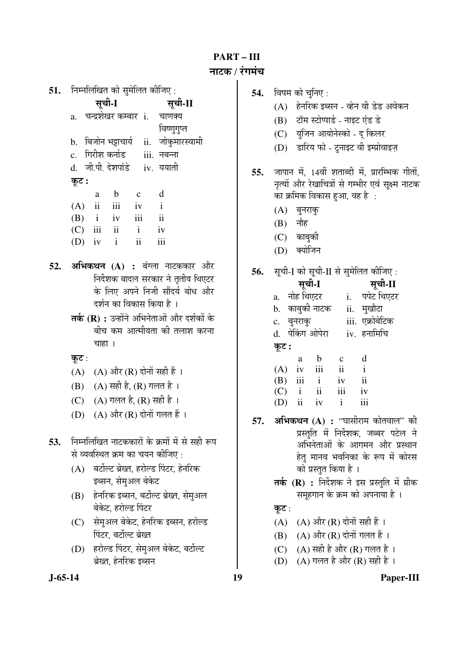## **PART – III**

#### $\overline{a}$  and  $\overline{b}$

| 51. |       |        |                   | निम्नलिखित को सुमेलित कीजिए:       |                                                                      |  |
|-----|-------|--------|-------------------|------------------------------------|----------------------------------------------------------------------|--|
|     |       | सूची-I |                   | सूची-II                            |                                                                      |  |
|     |       |        |                   | a.  चन्द्रशेखर कम्बार  i.   चाणक्य |                                                                      |  |
|     |       |        |                   | विष्णूगुप्त                        |                                                                      |  |
|     |       |        |                   |                                    | b. बिजोन भट्टाचार्य ii. जोकुमारस्वामी                                |  |
|     |       |        |                   | c. गिरीश कर्नाड   iii. नबन्ना      |                                                                      |  |
|     |       |        |                   | d. जी.पी. देशपांडे iv. ययाती       |                                                                      |  |
|     | कूट : |        |                   |                                    |                                                                      |  |
|     |       | a      | b c d             |                                    |                                                                      |  |
|     |       |        | $(A)$ ii iii iv i |                                    |                                                                      |  |
|     |       |        | $(B)$ i iv iii ii |                                    |                                                                      |  |
|     |       |        | $(C)$ iii ii iv   |                                    |                                                                      |  |
|     |       |        | (D) iv $i$ ii     | iii                                |                                                                      |  |
| 52. |       |        |                   |                                    | अभिकथन (A) : बंग्ला नाटककार और<br>निर्देशक बादल सरकार ने तृतीय थिएटर |  |
|     |       |        |                   |                                    | के लिए अपने निजी सौंदर्य बोध और                                      |  |
|     |       |        |                   | दर्शन का विकास किया है ।           |                                                                      |  |
|     |       |        |                   |                                    |                                                                      |  |
|     |       |        |                   |                                    | <b>तर्क (R) :</b> उन्होंने अभिनेताओं और दर्शकों के                   |  |
|     |       |        |                   |                                    | बीच कम आत्मीयता की तलाश करना                                         |  |
|     |       | चाहा । |                   |                                    |                                                                      |  |

#### कूट:

- $(A)$   $(A)$  और  $(R)$  दोनों सही हैं।
- $(B)$  (A) सही है, (R) गलत है ।
- (C) (A) गलत है, (R) सही है ।
- (D)  $(A)$  और  $(R)$  दोनों गलत हैं।
- **53.** ×®Ö´®Ö×»Ö×ÜÖŸÖ ®ÖÖ™üÛúÛúÖ¸üÖë Ûêú ÛÎú´ÖÖë ´Öë ÃÖê ÃÖÆüß ºþ¯Ö से व्यवस्थित क्रम का चयन कीजिए :
	- (A) बर्टोल्ट ब्रेख्त, हरोल्ड पिंटर, हेनरिक इब्सन, सेमुअल बेकेट
	- (B) हेनरिक इब्सन, बर्टोल्ट ब्रेख्त, सेमुअल बेकेट, हरोल्ड पिंटर
	- (C) सेमुअल बेकेट, हेनरिक इब्सन, हरोल्ड पिंटर, बर्टोल्ट ब्रेख्त
	- (D) हरोल्ड पिंटर, सेमुअल बेकेट, बर्टोल्ट ब्रेख्त, हेनरिक इब्सन

**54.** विषम को चूनिए: (A) हेनरिक इब्सन - व्हेन वी डेड अवेकन (B) टॉम स्टोप्पार्ड - नाइट एंड डे (C) युजिन आयोनेस्को - द् किलर  $(D)$  डारिय फो - ट्नाइट वी इम्प्रोवाइज़ **55.** •जापान में, 14वीं शताब्दी में, प्रारम्भिक गीतों, नृत्यों और रेखाचित्रों से गम्भीर एवं सुक्ष्म नाटक का क्रमिक विकास हुआ, वह है :  $(A)$  बुनराकु  $(B)$  नौह  $(C)$  काबुकी  $(D)$  क्योजिन **56.** सूची-I को सूची-II से सुमेलित कीजिए: सची-I सची-II a. नोह थिएटर i. पपेट थिएटर b. काबुकी नाटक ii. मुखौटा

- c. बुनराकु iii. एक्रोबेटिक d. पेकिंग ओपेरा iv. हनामिचि कट : a b c d  $(A)$  iv iii ii i (B) iii i iv ii  $(C)$  i ii iii iv (D) ii iv i iii
- **57. अभिकथन (A) : "घा**सीराम कोतवाल" की प्रस्तति में निर्देशक. जब्बर पटेल ने अभिनेताओं के आगमन और प्रस्थान हेत् मानव भवनिका के रूप में कोरस को प्रस्तुत किया है ।
	- **तर्क (R) :** निर्देशक ने इस प्रस्तुति में ग्रीक समुहगान के क्रम को अपनाया है ।

#### कूट:

- $(A)$   $(A)$  और  $(R)$  दोनों सही हैं।
- $(B)$   $(A)$  और  $(R)$  दोनों गलत हैं।
- (C)  $(A)$  सही है और  $(R)$  गलत है।
- (D)  $(A)$  गलत है और  $(R)$  सही है ।

#### **J-65-14 19 Paper-III**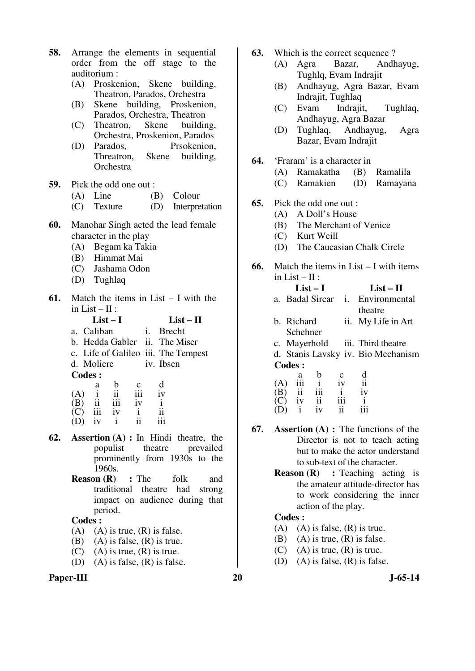- **58.** Arrange the elements in sequential order from the off stage to the auditorium : (A) Proskenion, Skene building,
	- Theatron, Parados, Orchestra
	- (B) Skene building, Proskenion, Parados, Orchestra, Theatron
	- (C) Theatron, Skene building, Orchestra, Proskenion, Parados
	- (D) Parados, Prsokenion, Threatron, Skene building, Orchestra
- **59.** Pick the odd one out :
	- (A) Line (B) Colour
	- (C) Texture (D) Interpretation
- **60.** Manohar Singh acted the lead female character in the play
	- (A) Begam ka Takia
	- (B) Himmat Mai
	- (C) Jashama Odon
	- (D) Tughlaq
- **61.** Match the items in List I with the in List –  $\Pi$  :

| $List-I$                                                               | $List - II$ |  |  |  |  |  |
|------------------------------------------------------------------------|-------------|--|--|--|--|--|
| a. Caliban<br><i>i</i> . Brecht                                        |             |  |  |  |  |  |
| b. Hedda Gabler ii. The Miser                                          |             |  |  |  |  |  |
| c. Life of Galileo iii. The Tempest                                    |             |  |  |  |  |  |
| d. Moliere<br>iv. Ibsen                                                |             |  |  |  |  |  |
| <b>Codes:</b>                                                          |             |  |  |  |  |  |
| b<br>d<br>a                                                            |             |  |  |  |  |  |
| iv<br>$\ddot{\mathbf{i}}$<br>$\mathbf{i}$<br>iii<br>(A)                |             |  |  |  |  |  |
| iii<br>$\overline{\mathbf{ii}}$<br>$\mathbf{i}$<br>$\mathbf{B})$<br>1V |             |  |  |  |  |  |
| iv                                                                     |             |  |  |  |  |  |

- $(D)$  iv i ii iii
- **62. Assertion (A) :** In Hindi theatre, the populist theatre prevailed prominently from 1930s to the 1960s.
	- **Reason (R)** : The folk and traditional theatre had strong impact on audience during that period.

- (A) (A) is true,  $(R)$  is false.
- (B) (A) is false,  $(R)$  is true.
- (C) (A) is true,  $(R)$  is true.
- (D) (A) is false, (R) is false.

#### **Paper-III 20 J-65-14**

- **63.** Which is the correct sequence ?
	- (A) Agra Bazar, Andhayug, Tughlq, Evam Indrajit
		- (B) Andhayug, Agra Bazar, Evam Indrajit, Tughlaq
		- (C) Evam Indrajit, Tughlaq, Andhayug, Agra Bazar
		- (D) Tughlaq, Andhayug, Agra Bazar, Evam Indrajit
- **64.** 'Fraram' is a character in
	- (A) Ramakatha (B) Ramalila
	- (C) Ramakien (D) Ramayana
- **65.** Pick the odd one out :
	- (A) A Doll's House
	- (B) The Merchant of Venice
	- (C) Kurt Weill
	- (D) The Caucasian Chalk Circle
- **66.** Match the items in List I with items in List –  $II \cdot$

|     |            | $List-I$        |                 |         | $List-II$                          |
|-----|------------|-----------------|-----------------|---------|------------------------------------|
|     |            |                 |                 |         | a. Badal Sircar i. Environmental   |
|     |            |                 |                 | theatre |                                    |
|     | b. Richard |                 |                 |         | ii. My Life in Art                 |
|     |            | Schehner        |                 |         |                                    |
|     |            |                 |                 |         | c. Mayerhold iii. Third theatre    |
|     |            |                 |                 |         | d. Stanis Lavsky iv. Bio Mechanism |
|     | Codes :    |                 |                 |         |                                    |
|     | a          | b               |                 |         |                                    |
| (A) | iii        | $\frac{1}{111}$ | $\overline{iv}$ | ii      |                                    |
|     |            |                 |                 |         |                                    |

 (D) i iv ii iii **67. Assertion (A) :** The functions of the Director is not to teach acting but to make the actor understand to sub-text of the character.

 $(C)$  iv ii iii i

**Reason (R)** : Teaching acting is the amateur attitude-director has to work considering the inner action of the play.

- (A) (A) is false,  $(R)$  is true.
- (B) (A) is true,  $(R)$  is false.
- (C) (A) is true,  $(R)$  is true.
- (D) (A) is false,  $(R)$  is false.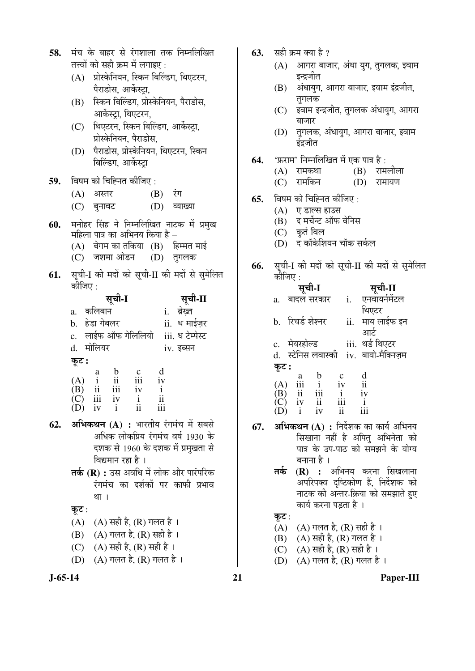| प्रोस्केनियन, स्किन बिल्डिंग, थिएटरन,<br>(A)<br>पैराडोस, आर्केस्ट्रा,<br>स्किन बिल्डिंग, प्रोस्केनियन, पैराडोस,<br>(B)<br>आर्केस्ट्रा, थिएटरन,<br>थिएटरन, स्किन बिल्डिंग, आर्केस्ट्रा,<br>(C)<br>प्रोस्केनियन, पैराडोस,<br>पैराडोस, प्रोस्केनियन, थिएटरन, स्किन<br>(D)<br>बिल्डिंग, आर्केस्ट्रा<br>विषम को चिह्नित कीजिए :<br>59.<br>(A) अस्तर<br>$(B)$ रंग<br>(D) व्याख्या<br>(C) बुनावट<br>मनोहर सिंह ने निम्नलिखित नाटक में प्रमुख<br>60.<br>महिला पात्र का अभिनय किया है –<br>(A) बेगम का तकिया (B) हिम्मत माई<br>(C) जशमा ओडन (D) तुगलक<br>सूची-I की मदों को सूची-II की मदों से सुमेलित<br>61.<br>कीजिए :<br>सूची-I<br>सूची-II<br>कलिबान<br>i. ब्रेख्त<br>a.<br>b. हेडा गेबलर<br>ii. ध माईज़र<br>c. लाईफ ऑफ गेलिलियो<br>iii. ध टेम्पेस्ट<br>d. मोलियर<br>iv. इब्सन<br>कूट :<br>d<br>$\begin{matrix} a & b \\ i & ii \end{matrix}$<br>$\mathbf{c}$<br>iii<br>(A)<br>iv<br>$\frac{\text{ii}}{\text{iii}}$<br>iii<br>(B)<br>iv<br>$\mathbf{i}$<br>ii<br>$\begin{array}{ccc} (C) & \text{iii} & \text{iv} & \text{i} \\ (D) & \text{iv} & \text{i} & \text{ii} \end{array}$<br>iii<br>अभिकथन (A) : भारतीय रंगमंच में सबसे<br>62.<br>अधिक लोकप्रिय रंगमंच वर्ष 1930 के<br>दशक से 1960 के दशक में प्रमुखता से<br>विद्यमान रहा है ।<br><b>तर्क (R) :</b> उस अवधि में लोक और पारंपरिक<br>रंगमंच का दर्शकों पर काफी प्रभाव<br>था ।<br>कूट :<br>(A) (A) सही है, (R) गलत है।<br>(B) (A) गलत है, (R) सही है ।<br>(C) (A) सही है, (R) सही है ।<br>(D) (A) गलत है, (R) गलत है। | 58. | मंच के बाहर से रंगशाला तक निम्नलिखित |  |  |  |  |  |
|-----------------------------------------------------------------------------------------------------------------------------------------------------------------------------------------------------------------------------------------------------------------------------------------------------------------------------------------------------------------------------------------------------------------------------------------------------------------------------------------------------------------------------------------------------------------------------------------------------------------------------------------------------------------------------------------------------------------------------------------------------------------------------------------------------------------------------------------------------------------------------------------------------------------------------------------------------------------------------------------------------------------------------------------------------------------------------------------------------------------------------------------------------------------------------------------------------------------------------------------------------------------------------------------------------------------------------------------------------------------------------------------------------------------------------------------------------------------------|-----|--------------------------------------|--|--|--|--|--|
|                                                                                                                                                                                                                                                                                                                                                                                                                                                                                                                                                                                                                                                                                                                                                                                                                                                                                                                                                                                                                                                                                                                                                                                                                                                                                                                                                                                                                                                                       |     | तत्त्वों को सही क्रम में लगाइए :     |  |  |  |  |  |
|                                                                                                                                                                                                                                                                                                                                                                                                                                                                                                                                                                                                                                                                                                                                                                                                                                                                                                                                                                                                                                                                                                                                                                                                                                                                                                                                                                                                                                                                       |     |                                      |  |  |  |  |  |
|                                                                                                                                                                                                                                                                                                                                                                                                                                                                                                                                                                                                                                                                                                                                                                                                                                                                                                                                                                                                                                                                                                                                                                                                                                                                                                                                                                                                                                                                       |     |                                      |  |  |  |  |  |
|                                                                                                                                                                                                                                                                                                                                                                                                                                                                                                                                                                                                                                                                                                                                                                                                                                                                                                                                                                                                                                                                                                                                                                                                                                                                                                                                                                                                                                                                       |     |                                      |  |  |  |  |  |
|                                                                                                                                                                                                                                                                                                                                                                                                                                                                                                                                                                                                                                                                                                                                                                                                                                                                                                                                                                                                                                                                                                                                                                                                                                                                                                                                                                                                                                                                       |     |                                      |  |  |  |  |  |
|                                                                                                                                                                                                                                                                                                                                                                                                                                                                                                                                                                                                                                                                                                                                                                                                                                                                                                                                                                                                                                                                                                                                                                                                                                                                                                                                                                                                                                                                       |     |                                      |  |  |  |  |  |
|                                                                                                                                                                                                                                                                                                                                                                                                                                                                                                                                                                                                                                                                                                                                                                                                                                                                                                                                                                                                                                                                                                                                                                                                                                                                                                                                                                                                                                                                       |     |                                      |  |  |  |  |  |
|                                                                                                                                                                                                                                                                                                                                                                                                                                                                                                                                                                                                                                                                                                                                                                                                                                                                                                                                                                                                                                                                                                                                                                                                                                                                                                                                                                                                                                                                       |     |                                      |  |  |  |  |  |
|                                                                                                                                                                                                                                                                                                                                                                                                                                                                                                                                                                                                                                                                                                                                                                                                                                                                                                                                                                                                                                                                                                                                                                                                                                                                                                                                                                                                                                                                       |     |                                      |  |  |  |  |  |
|                                                                                                                                                                                                                                                                                                                                                                                                                                                                                                                                                                                                                                                                                                                                                                                                                                                                                                                                                                                                                                                                                                                                                                                                                                                                                                                                                                                                                                                                       |     |                                      |  |  |  |  |  |
|                                                                                                                                                                                                                                                                                                                                                                                                                                                                                                                                                                                                                                                                                                                                                                                                                                                                                                                                                                                                                                                                                                                                                                                                                                                                                                                                                                                                                                                                       |     |                                      |  |  |  |  |  |
|                                                                                                                                                                                                                                                                                                                                                                                                                                                                                                                                                                                                                                                                                                                                                                                                                                                                                                                                                                                                                                                                                                                                                                                                                                                                                                                                                                                                                                                                       |     |                                      |  |  |  |  |  |
|                                                                                                                                                                                                                                                                                                                                                                                                                                                                                                                                                                                                                                                                                                                                                                                                                                                                                                                                                                                                                                                                                                                                                                                                                                                                                                                                                                                                                                                                       |     |                                      |  |  |  |  |  |
|                                                                                                                                                                                                                                                                                                                                                                                                                                                                                                                                                                                                                                                                                                                                                                                                                                                                                                                                                                                                                                                                                                                                                                                                                                                                                                                                                                                                                                                                       |     |                                      |  |  |  |  |  |
|                                                                                                                                                                                                                                                                                                                                                                                                                                                                                                                                                                                                                                                                                                                                                                                                                                                                                                                                                                                                                                                                                                                                                                                                                                                                                                                                                                                                                                                                       |     |                                      |  |  |  |  |  |
|                                                                                                                                                                                                                                                                                                                                                                                                                                                                                                                                                                                                                                                                                                                                                                                                                                                                                                                                                                                                                                                                                                                                                                                                                                                                                                                                                                                                                                                                       |     |                                      |  |  |  |  |  |
|                                                                                                                                                                                                                                                                                                                                                                                                                                                                                                                                                                                                                                                                                                                                                                                                                                                                                                                                                                                                                                                                                                                                                                                                                                                                                                                                                                                                                                                                       |     |                                      |  |  |  |  |  |
|                                                                                                                                                                                                                                                                                                                                                                                                                                                                                                                                                                                                                                                                                                                                                                                                                                                                                                                                                                                                                                                                                                                                                                                                                                                                                                                                                                                                                                                                       |     |                                      |  |  |  |  |  |
|                                                                                                                                                                                                                                                                                                                                                                                                                                                                                                                                                                                                                                                                                                                                                                                                                                                                                                                                                                                                                                                                                                                                                                                                                                                                                                                                                                                                                                                                       |     |                                      |  |  |  |  |  |
|                                                                                                                                                                                                                                                                                                                                                                                                                                                                                                                                                                                                                                                                                                                                                                                                                                                                                                                                                                                                                                                                                                                                                                                                                                                                                                                                                                                                                                                                       |     |                                      |  |  |  |  |  |
|                                                                                                                                                                                                                                                                                                                                                                                                                                                                                                                                                                                                                                                                                                                                                                                                                                                                                                                                                                                                                                                                                                                                                                                                                                                                                                                                                                                                                                                                       |     |                                      |  |  |  |  |  |
|                                                                                                                                                                                                                                                                                                                                                                                                                                                                                                                                                                                                                                                                                                                                                                                                                                                                                                                                                                                                                                                                                                                                                                                                                                                                                                                                                                                                                                                                       |     |                                      |  |  |  |  |  |
|                                                                                                                                                                                                                                                                                                                                                                                                                                                                                                                                                                                                                                                                                                                                                                                                                                                                                                                                                                                                                                                                                                                                                                                                                                                                                                                                                                                                                                                                       |     |                                      |  |  |  |  |  |
|                                                                                                                                                                                                                                                                                                                                                                                                                                                                                                                                                                                                                                                                                                                                                                                                                                                                                                                                                                                                                                                                                                                                                                                                                                                                                                                                                                                                                                                                       |     |                                      |  |  |  |  |  |
|                                                                                                                                                                                                                                                                                                                                                                                                                                                                                                                                                                                                                                                                                                                                                                                                                                                                                                                                                                                                                                                                                                                                                                                                                                                                                                                                                                                                                                                                       |     |                                      |  |  |  |  |  |
|                                                                                                                                                                                                                                                                                                                                                                                                                                                                                                                                                                                                                                                                                                                                                                                                                                                                                                                                                                                                                                                                                                                                                                                                                                                                                                                                                                                                                                                                       |     |                                      |  |  |  |  |  |
|                                                                                                                                                                                                                                                                                                                                                                                                                                                                                                                                                                                                                                                                                                                                                                                                                                                                                                                                                                                                                                                                                                                                                                                                                                                                                                                                                                                                                                                                       |     |                                      |  |  |  |  |  |
|                                                                                                                                                                                                                                                                                                                                                                                                                                                                                                                                                                                                                                                                                                                                                                                                                                                                                                                                                                                                                                                                                                                                                                                                                                                                                                                                                                                                                                                                       |     |                                      |  |  |  |  |  |
|                                                                                                                                                                                                                                                                                                                                                                                                                                                                                                                                                                                                                                                                                                                                                                                                                                                                                                                                                                                                                                                                                                                                                                                                                                                                                                                                                                                                                                                                       |     |                                      |  |  |  |  |  |
|                                                                                                                                                                                                                                                                                                                                                                                                                                                                                                                                                                                                                                                                                                                                                                                                                                                                                                                                                                                                                                                                                                                                                                                                                                                                                                                                                                                                                                                                       |     |                                      |  |  |  |  |  |
|                                                                                                                                                                                                                                                                                                                                                                                                                                                                                                                                                                                                                                                                                                                                                                                                                                                                                                                                                                                                                                                                                                                                                                                                                                                                                                                                                                                                                                                                       |     |                                      |  |  |  |  |  |
|                                                                                                                                                                                                                                                                                                                                                                                                                                                                                                                                                                                                                                                                                                                                                                                                                                                                                                                                                                                                                                                                                                                                                                                                                                                                                                                                                                                                                                                                       |     |                                      |  |  |  |  |  |
|                                                                                                                                                                                                                                                                                                                                                                                                                                                                                                                                                                                                                                                                                                                                                                                                                                                                                                                                                                                                                                                                                                                                                                                                                                                                                                                                                                                                                                                                       |     |                                      |  |  |  |  |  |
|                                                                                                                                                                                                                                                                                                                                                                                                                                                                                                                                                                                                                                                                                                                                                                                                                                                                                                                                                                                                                                                                                                                                                                                                                                                                                                                                                                                                                                                                       |     |                                      |  |  |  |  |  |
|                                                                                                                                                                                                                                                                                                                                                                                                                                                                                                                                                                                                                                                                                                                                                                                                                                                                                                                                                                                                                                                                                                                                                                                                                                                                                                                                                                                                                                                                       |     |                                      |  |  |  |  |  |
|                                                                                                                                                                                                                                                                                                                                                                                                                                                                                                                                                                                                                                                                                                                                                                                                                                                                                                                                                                                                                                                                                                                                                                                                                                                                                                                                                                                                                                                                       |     |                                      |  |  |  |  |  |

- **63.** सही क्रम क्या है ?
	- $(A)$  ) आगरा बाजार, अंधा यग, तगलक, इवाम ङन्द्रजीत
	- (B) अंधायुग, आगरा बाजार, इवाम इंद्रजीत, तगलक
	- (C) इवाम इन्द्रजीत, तगलक अंधायग, आगरा बाजार
	- (D) तुगलक, अंधायुग, आगरा बाजार, इवाम इंद्रजीत
- **64.** 'फ्रराम' निम्नलिखित में एक पात्र है:

| $(A)$ रामकथा | (B) | रामलीला |
|--------------|-----|---------|
|              |     |         |

- (C) रामकिन (D) रामायण
- **65.** विषम को चिह्नित कीजिए :
	- (A) ए डाल्स हाउस
	- (B) द मर्चेन्ट ऑफ वेनिस
	- (C) कुर्त विल
	- (D) द कॉकेशियन चॉक सर्कल
- 66. सूची-I की मदों को सूची-II की मदों से सुमेलित कौजिए  $\cdot$

|       | सूची-I           |                                   |    |     | सूची-II                               |
|-------|------------------|-----------------------------------|----|-----|---------------------------------------|
| a.    | बादल सरकार       |                                   |    | i.  | एनवायर्नमेंटल                         |
|       |                  |                                   |    |     | थिएटर                                 |
|       | b. रिचर्ड शेश्नर |                                   |    | ii. | माय लाईफ इन                           |
|       |                  |                                   |    |     | आर्ट                                  |
|       | मेयरहोल्ड        |                                   |    |     | iii. थर्ड थिएटर                       |
|       |                  |                                   |    |     | d. स्टेनिस लवास्की iv. बायो-मैक्निज़म |
| कुट : |                  |                                   |    |     |                                       |
|       | a                | b                                 |    |     | d<br>ii                               |
| (A)   | iii              | $\frac{\mathrm{i}}{\mathrm{iii}}$ | iv |     |                                       |
| B)    | $\ddot{\rm n}$   |                                   |    |     | iv                                    |
|       | iv               |                                   |    |     |                                       |
|       |                  |                                   |    |     |                                       |

**67. अभिकथन (A) :** निर्देशक का कार्य अभिनय सिखाना नहीं है अपित अभिनेता को पात्र के उप-पाठ को समझने के योग्य बनाना है ।

(D) i iv ii iii

**तर्क (R) :** अभिनय करना सिखलाना अपरिपक्व दृष्टिकोण हैं, निर्देशक को <u>नाटक की अन्तर-क्रिया को समझाते हुए</u> कार्य करना पड़ता है ।

#### कूट $:$

- (A) (A) गलत है, (R) सही है ।
- (B) (A) सही है, (R) गलत है ।
- (C) (A) सही है, (R) सही है।
- (D)  $(A)$  गलत है,  $(R)$  गलत है ।

**J-65-14 21 Paper-III**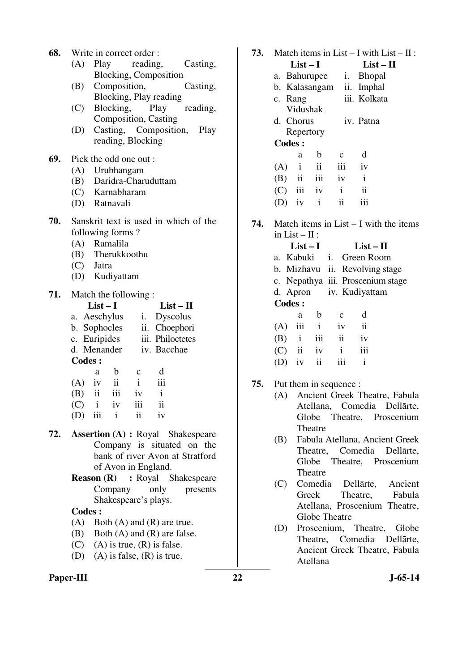- **68.** Write in correct order :
	- (A) Play reading, Casting, Blocking, Composition
	- (B) Composition, Casting, Blocking, Play reading
	- (C) Blocking, Play reading, Composition, Casting
	- (D) Casting, Composition, Play reading, Blocking
- **69.** Pick the odd one out :
	- (A) Urubhangam
	- (B) Daridra-Charuduttam
	- (C) Karnabharam
	- (D) Ratnavali
- **70.** Sanskrit text is used in which of the following forms ?
	- (A) Ramalila
	- (B) Therukkoothu
	- (C) Jatra
	- (D) Kudiyattam
- **71.** Match the following :

|               | $List-I$     |     |               |             | List – $\Pi$     |  |  |
|---------------|--------------|-----|---------------|-------------|------------------|--|--|
|               | a. Aeschylus |     | i.            |             | Dyscolus         |  |  |
|               | b. Sophocles |     |               |             | ii. Choephori    |  |  |
|               | c. Euripides |     |               |             | iii. Philoctetes |  |  |
|               | d. Menander  |     |               | iv. Bacchae |                  |  |  |
| <b>Codes:</b> |              |     |               |             |                  |  |  |
|               | a            | h   | $\mathcal{C}$ | d           |                  |  |  |
| (A)           | iv           | ŤŤ. | 1             |             |                  |  |  |

| (B)        | ii iii |              | iv  |               |
|------------|--------|--------------|-----|---------------|
| $(C)$ i iv |        |              | 111 | $\mathbf{ii}$ |
| (D)        | iii    | $\mathbf{1}$ | ii. | iv            |

- **72. Assertion (A) :** Royal Shakespeare Company is situated on the bank of river Avon at Stratford of Avon in England.
	- **Reason (R) :** Royal Shakespeare Company only presents Shakespeare's plays.

- (A) Both (A) and (R) are true.
- (B) Both (A) and (R) are false.
- (C) (A) is true,  $(R)$  is false.
- (D) (A) is false, (R) is true.

#### 73. Match items in List – I with List –  $II$ :  $List - I$   $List - II$ a. Bahurupee i. Bhopal b. Kalasangam ii. Imphal c. Rang Vidushak iii. Kolkata d. Chorus Repertory iv. Patna **Codes :**  a b c d  $(A)$  i ii iii iv (B) ii iii iv i (C) iii iv i ii  $(D)$  iv i ii iii

**74.** Match items in List – I with the items in List –  $\Pi$  :

|     |               | List $-1$           |                     |                         |               | List – H                       |                                   |
|-----|---------------|---------------------|---------------------|-------------------------|---------------|--------------------------------|-----------------------------------|
|     |               |                     |                     | a. Kabuki i. Green Room |               |                                |                                   |
|     |               |                     |                     |                         |               | b. Mizhavu ii. Revolving stage |                                   |
|     |               |                     |                     |                         |               |                                | c. Nepathya iii. Proscenium stage |
|     |               |                     |                     |                         |               | d. Apron iv. Kudiyattam        |                                   |
|     | <b>Codes:</b> |                     |                     |                         |               |                                |                                   |
|     |               | a                   | b                   |                         | $\mathbf c$   | d                              |                                   |
| (A) |               | iii                 | $\mathbf{i}$        |                         | iv            | $\mathbf{ii}$                  |                                   |
| (B) |               | $\mathbf{i}$        | iii                 |                         | $\mathbf{ii}$ | iv                             |                                   |
| (C) |               | $\ddot{\mathbf{i}}$ | iv                  |                         | i             | iii                            |                                   |
|     |               | iv                  | $\ddot{\mathbf{i}}$ |                         | iii           | i                              |                                   |

- **75.** Put them in sequence :
	- (A) Ancient Greek Theatre, Fabula Atellana, Comedia Dellārte, Globe Theatre, Proscenium Theatre
	- (B) Fabula Atellana, Ancient Greek Theatre, Comedia Dellārte, Globe Theatre, Proscenium Theatre
	- (C) Comedia Dellārte, Ancient Greek Theatre, Fabula Atellana, Proscenium Theatre, Globe Theatre
	- (D) Proscenium, Theatre, Globe Theatre, Comedia Dellārte, Ancient Greek Theatre, Fabula Atellana

#### Paper-III 22 J-65-14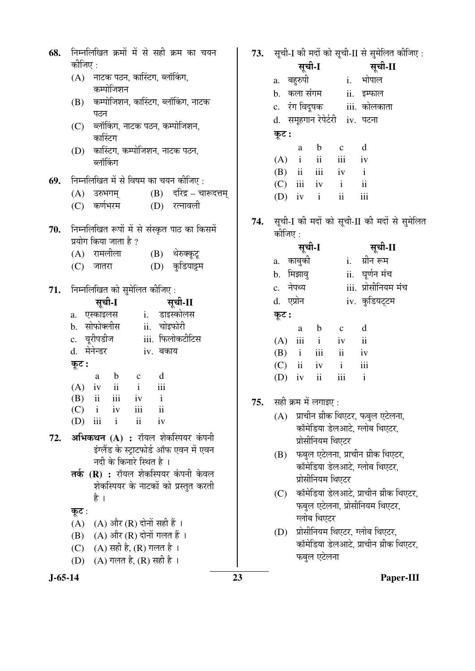| 68. |           |                                                              |                                    |                     | निम्नलिखित क्रमों में से सही क्रम का चयन          |  |  |
|-----|-----------|--------------------------------------------------------------|------------------------------------|---------------------|---------------------------------------------------|--|--|
|     | कीजिए :   |                                                              |                                    |                     |                                                   |  |  |
|     |           | (A) नाटक पठन, कास्टिंग, ब्लॉकिंग,<br>कम्पोजिशन               |                                    |                     |                                                   |  |  |
|     |           | पठन                                                          |                                    |                     | (B) कम्पोजिशन, कास्टिंग, ब्लॉकिंग, नाटक           |  |  |
|     |           | कास्टिग                                                      | (C) ब्लॉकिंग, नाटक पठन, कम्पोजिशन, |                     |                                                   |  |  |
|     |           | (D) कारिंटग, कम्पोजिशन, नाटक पठन,<br>ब्लॉकिंग                |                                    |                     |                                                   |  |  |
| 69. |           |                                                              |                                    |                     | निम्नलिखित में से विषम का चयन कीजिए :             |  |  |
|     |           | (A) उरुभगम्                                                  |                                    |                     | $(B)$ दरिद्र – चारूदत्तम्                         |  |  |
|     |           | (C) कर्णभरम                                                  |                                    |                     | (D) रत्नावली                                      |  |  |
|     |           |                                                              |                                    |                     | 70. निम्नलिखित रूपों में से संस्कृत पाठ का किसमें |  |  |
|     |           | प्रयोग किया जाता है ?                                        |                                    |                     |                                                   |  |  |
|     |           | (A) रामलीला                                                  |                                    |                     | (B) थेरुक्कूटू                                    |  |  |
|     |           | (C) जातरा                                                    |                                    |                     | (D) कुडियाट्टम                                    |  |  |
| 71. |           | निम्नलिखित को सुमेलित कीजिए:                                 |                                    |                     |                                                   |  |  |
|     |           | सूची-I                                                       |                                    |                     | सूची-II                                           |  |  |
|     |           | a. एस्काइलस  i. डाइस्कोलस                                    |                                    |                     |                                                   |  |  |
|     |           | b. सोफोक्लीस  ii. चोइफोरी                                    |                                    |                     |                                                   |  |  |
|     |           |                                                              |                                    |                     | c. यूरीपडीज     iii. फिलोकटीटिस                   |  |  |
|     |           | d. मेनेन्डर                                                  |                                    | iv. बकाय            |                                                   |  |  |
|     | कूट :     |                                                              |                                    |                     |                                                   |  |  |
|     |           |                                                              | a b c                              | d                   |                                                   |  |  |
|     |           | $(A)$ iv ii i iii                                            |                                    |                     |                                                   |  |  |
|     |           | $(B)$ ii iii iv                                              |                                    | $\mathbf{i}$        |                                                   |  |  |
|     | (C)       | $i$ iv                                                       | iii                                | $\ddot{\mathbf{i}}$ |                                                   |  |  |
|     | $(D)$ iii | $\mathbf{i}$                                                 | $\overline{\mathbf{ii}}$           | iv                  |                                                   |  |  |
| 72. |           |                                                              |                                    |                     | <b>अभिकथन (A) :</b> रॉयल शेकस्पियर कंपनी          |  |  |
|     |           |                                                              |                                    |                     | इंग्लैंड के स्ट्राटफोर्ड ऑफ एवन में एवन           |  |  |
|     |           | नदी के किनारे स्थित है ।                                     |                                    |                     |                                                   |  |  |
|     |           |                                                              |                                    |                     | तर्क (R) : रॉयल शेकस्पियर कंपनी केवल              |  |  |
|     |           |                                                              |                                    |                     | शेकस्पियर के नाटकों को प्रस्तुत करती              |  |  |
|     |           | है ।                                                         |                                    |                     |                                                   |  |  |
|     | कूट :     |                                                              |                                    |                     |                                                   |  |  |
|     |           |                                                              |                                    |                     |                                                   |  |  |
|     |           | (A) (A) और (R) दोनों सही हैं ।                               |                                    |                     |                                                   |  |  |
|     |           |                                                              |                                    |                     |                                                   |  |  |
|     |           | (B) (A) और (R) दोनों गलत हैं ।                               |                                    |                     |                                                   |  |  |
|     |           | (C) (A) सही है, (R) गलत है ।<br>(D) (A) गलत है, (R) सही है । |                                    |                     |                                                   |  |  |

| 68.     | निम्नलिखित क्रमों में से सही क्रम का चयन<br>कीजिए :                                 | 73. | सूची-I की मदों को सूची-II से सुमेलित कीजिए :<br>सूची-I<br>सूची-II                                              |
|---------|-------------------------------------------------------------------------------------|-----|----------------------------------------------------------------------------------------------------------------|
|         | (A) नाटक पठन, कारिंटग, ब्लॉकिंग,                                                    |     | a. बहुरुपी<br>i. भोपाल                                                                                         |
|         | कम्पोजिशन                                                                           |     | b. कला संगम<br>ii. इम्फाल                                                                                      |
|         | कम्पोजिशन, कास्टिंग, ब्लॉकिंग, नाटक<br>(B)                                          |     | c.   रंग विदूषक<br>iii. कोलकाता                                                                                |
|         | पठन                                                                                 |     | d. समूहगान रेपेर्टरी iv. पटना                                                                                  |
|         | ब्लॉकिंग, नाटक पठन, कम्पोजिशन,<br>(C)                                               |     | कूट :                                                                                                          |
|         | कास्टिंग                                                                            |     | d<br>$\mathbf b$<br>$\mathbf c$<br>a                                                                           |
|         | कास्टिंग, कम्पोजिशन, नाटक पठन,<br>(D)<br>ब्लॉकिंग                                   |     | ii<br>iii<br>$\mathbf{i}$<br>(A)<br>iv                                                                         |
|         |                                                                                     |     | iii<br>$\rm i$<br>$\mathbf{ii}$<br>(B)<br>iv                                                                   |
| 69.     | निम्नलिखित में से विषम का चयन कीजिए:                                                |     | iii<br>$\mathbf{ii}$<br>(C)<br>$\mathbf{i}$<br>iv                                                              |
|         | (B) दरिद्र – चारूदत्तम्<br>(A)<br>उरुभगम्                                           |     | iii<br>$\overline{\textbf{ii}}$<br>(D)<br>$\mathbf{i}$<br>iv                                                   |
|         | कर्णभरम<br>(D) रत्नावली<br>(C)                                                      |     |                                                                                                                |
| 70.     | निम्नलिखित रूपों में से संस्कृत पाठ का किसमें                                       | 74. | सूची-I की मदों को सूची-II की मदों से सुमेलित<br>कीजिए :                                                        |
|         | प्रयोग किया जाता है ?<br>(A) रामलीला<br>(B)                                         |     | सूची-I<br>सूची-II                                                                                              |
|         | थेरुक्कूटू<br>कुडियाट्टम<br>(C)<br>(D)<br>जातरा                                     |     | ग्रीन रूम<br>a. काबुकी<br>i.                                                                                   |
|         |                                                                                     |     | ii. घूर्णन मंच<br>b. मिझावु                                                                                    |
| 71.     | निम्नलिखित को सुमेलित कीजिए:                                                        |     | iii. प्रोसीनियम मंच<br>c. नेपथ्य                                                                               |
|         | सूची-I<br>सूची-II                                                                   |     | iv. कुडियट्टम<br>d. एप्रोन                                                                                     |
|         | i. डाइस्कोलस<br>एस्काइलस<br>a.                                                      |     | कूट :                                                                                                          |
|         | सोफोक्लीस<br>ii. चोइफोरी<br>b.                                                      |     | d<br>b<br>$\mathbf{C}$<br>a                                                                                    |
|         | c. यूरीपडीज<br>iii. फिलोकटीटिस                                                      |     | $\mathbf{ii}$<br>iii<br>$\mathbf{i}$<br>(A)<br>iv                                                              |
|         | मेनेन्डर<br>d.<br>iv. बकाय                                                          |     | iii<br>(B)<br>$\overline{\mathbf{u}}$<br>$\mathbf{i}$<br>iv                                                    |
|         | कूट :<br>d<br>$\mathbf b$<br>a<br>$\mathbf c$                                       |     | iii<br>$\overline{\mathbf{u}}$<br>$\mathbf{i}$<br>(C)<br>iv<br>$\overline{\mathbf{ii}}$<br>iii<br>$\mathbf{i}$ |
|         | iii<br>$\,$ ii<br>$\mathbf{i}$<br>(A)<br>iv                                         |     | (D)<br>iv                                                                                                      |
|         | $\,$ iii<br>$\overline{\mathbf{u}}$<br>$\mathbf{i}$<br>(B)<br>iv                    | 75. | सही क्रम में लगाइए :                                                                                           |
|         | (C)<br>iii<br>$\mathbf{i}$<br>iv<br>$\overline{11}$                                 |     | प्राचीन ग्रीक थिएटर, फबुल एटेलना,<br>(A)                                                                       |
|         | $\mathbf{ii}$<br>(D)<br>$\mathbf{i}$<br>iv<br>iii                                   |     | कॉमेडिया डेलआटे, ग्लोब थिएटर,                                                                                  |
| 72.     | अभिकथन (A) : रॉयल शेकस्पियर कंपनी                                                   |     | प्रोसीनियम थिएटर                                                                                               |
|         | इंग्लैंड के स्ट्राटफोर्ड ऑफ एवन में एवन                                             |     | फबुल एटेलना, प्राचीन ग्रीक थिएटर,<br>(B)                                                                       |
|         | नदी के किनारे स्थित है ।                                                            |     | कॉमेडिया डेलआटे, ग्लोब थिएटर,                                                                                  |
|         | <b>तर्क (R) :</b> रॉयल शेकस्पियर कंपनी केवल<br>शेकस्पियर के नाटकों को प्रस्तुत करती |     | प्रोसीनियम थिएटर                                                                                               |
|         | है ।                                                                                |     | कॉमेडिया डेलआटे, प्राचीन ग्रीक थिएटर,<br>(C)                                                                   |
|         | कूट :                                                                               |     | फबुल एटेलना, प्रोसीनियम थिएटर,                                                                                 |
|         | $(A)$ और $(R)$ दोनों सही हैं ।<br>(A)                                               |     | ग्लोब थिएटर                                                                                                    |
|         | (A) और (R) दोनों गलत हैं ।<br>(B)                                                   |     | प्रोसीनियम थिएटर, ग्लोब थिएटर,<br>(D)                                                                          |
|         | $(A)$ सही है, $(R)$ गलत है ।<br>(C)                                                 |     | कॉमेडिया डेलआटे, प्राचीन ग्रीक थिएटर,                                                                          |
|         | $(A)$ गलत है, $(R)$ सही है ।<br>(D)                                                 |     | फबुल एटेलना                                                                                                    |
| J-65-14 | 23                                                                                  |     | Paper-III                                                                                                      |
|         |                                                                                     |     |                                                                                                                |